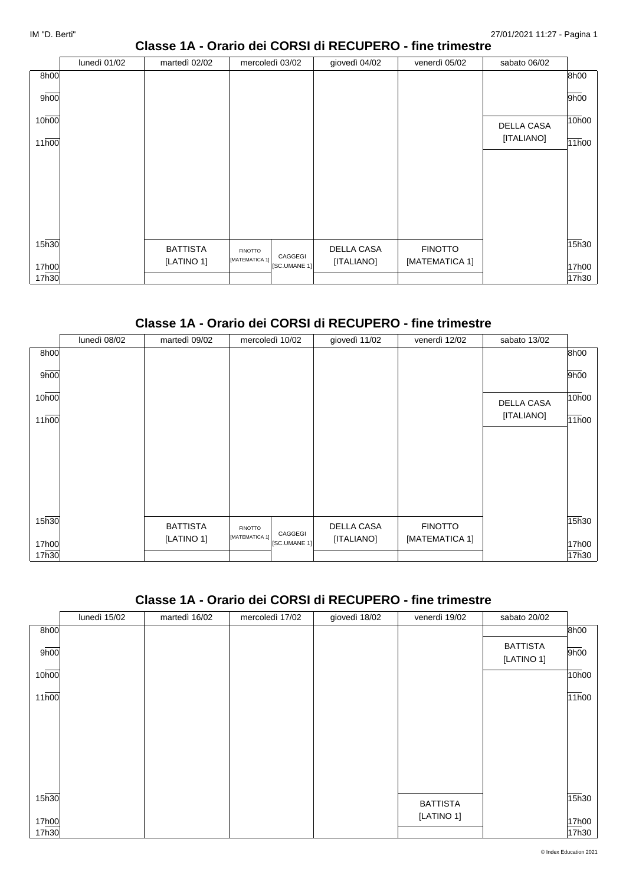#### **Classe 1A - Orario dei CORSI di RECUPERO - fine trimestre**

|                   | lunedì 01/02 | martedì 02/02   | mercoledì 03/02                           | giovedì 04/02 | venerdì 05/02  | sabato 06/02 |       |
|-------------------|--------------|-----------------|-------------------------------------------|---------------|----------------|--------------|-------|
| 8h00              |              |                 |                                           |               |                |              | 8h00  |
| 9h00              |              |                 |                                           |               |                |              | 9h00  |
| 10h00             |              |                 |                                           |               |                | DELLA CASA   | 10h00 |
| 11 <sub>h00</sub> |              |                 |                                           |               |                | [ITALIANO]   | 11h00 |
|                   |              |                 |                                           |               |                |              |       |
|                   |              |                 |                                           |               |                |              |       |
|                   |              |                 |                                           |               |                |              |       |
|                   |              |                 |                                           |               |                |              |       |
| 15 <sub>h30</sub> |              | <b>BATTISTA</b> | <b>FINOTTO</b>                            | DELLA CASA    | <b>FINOTTO</b> |              | 15h30 |
| 17h00             |              | [LATINO 1]      | CAGGEGI<br>[MATEMATICA 1]<br>[SC.UMANE 1] | [ITALIANO]    | [MATEMATICA 1] |              | 17h00 |
| 17h30             |              |                 |                                           |               |                |              | 17h30 |

#### **Classe 1A - Orario dei CORSI di RECUPERO - fine trimestre**

|       | lunedì 08/02 | martedì 09/02   | mercoledì 10/02                | giovedì 11/02     | venerdì 12/02  | sabato 13/02      |       |
|-------|--------------|-----------------|--------------------------------|-------------------|----------------|-------------------|-------|
| 8h00  |              |                 |                                |                   |                |                   | 8h00  |
| 9h00  |              |                 |                                |                   |                |                   | 9h00  |
| 10h00 |              |                 |                                |                   |                | <b>DELLA CASA</b> | 10h00 |
| 11h00 |              |                 |                                |                   |                | [ITALIANO]        | 11h00 |
|       |              |                 |                                |                   |                |                   |       |
|       |              |                 |                                |                   |                |                   |       |
|       |              |                 |                                |                   |                |                   |       |
|       |              |                 |                                |                   |                |                   |       |
|       |              |                 |                                |                   |                |                   |       |
|       |              |                 |                                |                   |                |                   |       |
| 15h30 |              | <b>BATTISTA</b> | <b>FINOTTO</b><br>CAGGEGI      | <b>DELLA CASA</b> | <b>FINOTTO</b> |                   | 15h30 |
| 17h00 |              | [LATINO 1]      | [MATEMATICA 1]<br>[SC.UMANE 1] | [ITALIANO]        | [MATEMATICA 1] |                   | 17h00 |
| 17h30 |              |                 |                                |                   |                |                   | 17h30 |

#### **Classe 1A - Orario dei CORSI di RECUPERO - fine trimestre**

|                   | lunedì 15/02 | martedì 16/02 | mercoledì 17/02 | giovedì 18/02 | venerdì 19/02   | sabato 20/02                  |       |
|-------------------|--------------|---------------|-----------------|---------------|-----------------|-------------------------------|-------|
| 8h00              |              |               |                 |               |                 |                               | 8h00  |
| 9h00              |              |               |                 |               |                 | <b>BATTISTA</b><br>[LATINO 1] | 9h00  |
| 10h00             |              |               |                 |               |                 |                               | 10h00 |
| 11h00             |              |               |                 |               |                 |                               | 11h00 |
|                   |              |               |                 |               |                 |                               |       |
|                   |              |               |                 |               |                 |                               |       |
|                   |              |               |                 |               |                 |                               |       |
| 15 <sub>h30</sub> |              |               |                 |               | <b>BATTISTA</b> |                               | 15h30 |
| 17h00             |              |               |                 |               | [LATINO 1]      |                               | 17h00 |
| 17h30             |              |               |                 |               |                 |                               | 17h30 |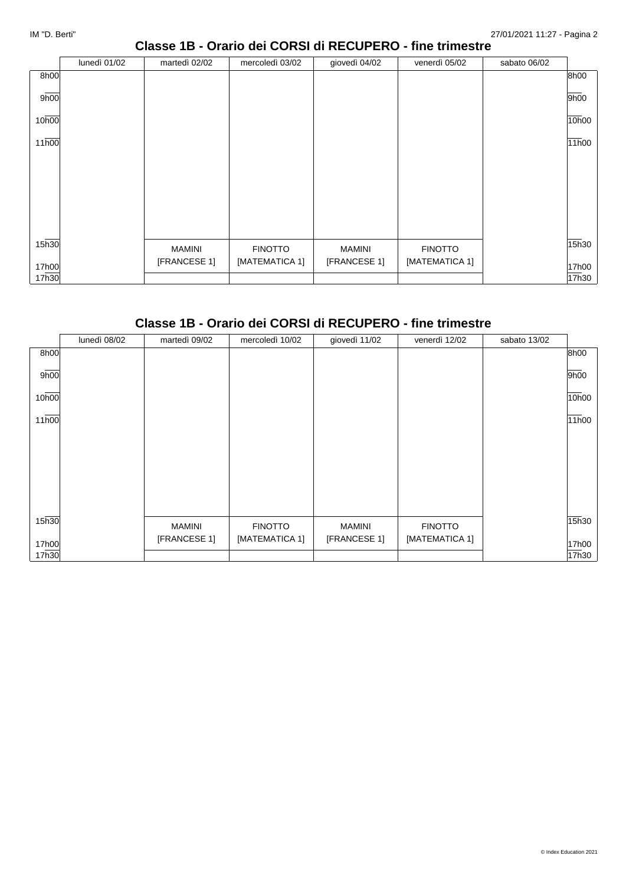### **Classe 1B - Orario dei CORSI di RECUPERO - fine trimestre**

|       | lunedì 01/02 | martedì 02/02 | mercoledì 03/02 | giovedì 04/02 | venerdì 05/02  | sabato 06/02 |       |
|-------|--------------|---------------|-----------------|---------------|----------------|--------------|-------|
| 8h00  |              |               |                 |               |                |              | 8h00  |
| 9h00  |              |               |                 |               |                |              | 9h00  |
| 10h00 |              |               |                 |               |                |              | 10h00 |
| 11h00 |              |               |                 |               |                |              | 11h00 |
|       |              |               |                 |               |                |              |       |
|       |              |               |                 |               |                |              |       |
|       |              |               |                 |               |                |              |       |
|       |              |               |                 |               |                |              |       |
| 15h30 |              | MAMINI        | <b>FINOTTO</b>  | <b>MAMINI</b> | <b>FINOTTO</b> |              | 15h30 |
| 17h00 |              | [FRANCESE 1]  | [MATEMATICA 1]  | [FRANCESE 1]  | [MATEMATICA 1] |              | 17h00 |
| 17h30 |              |               |                 |               |                |              | 17h30 |

#### **Classe 1B - Orario dei CORSI di RECUPERO - fine trimestre**

|                    | lunedì 08/02 | martedì 09/02 | mercoledì 10/02 | giovedì 11/02 | venerdì 12/02  | sabato 13/02 |       |
|--------------------|--------------|---------------|-----------------|---------------|----------------|--------------|-------|
| 8h00               |              |               |                 |               |                |              | 8h00  |
| 9h00               |              |               |                 |               |                |              | 9h00  |
| 10h00              |              |               |                 |               |                |              | 10h00 |
| $11\overline{h00}$ |              |               |                 |               |                |              | 11h00 |
|                    |              |               |                 |               |                |              |       |
|                    |              |               |                 |               |                |              |       |
|                    |              |               |                 |               |                |              |       |
|                    |              |               |                 |               |                |              |       |
| 15h30              |              | <b>MAMINI</b> | <b>FINOTTO</b>  | <b>MAMINI</b> | <b>FINOTTO</b> |              | 15h30 |
| 17h00              |              | [FRANCESE 1]  | [MATEMATICA 1]  | [FRANCESE 1]  | [MATEMATICA 1] |              | 17h00 |
| 17h30              |              |               |                 |               |                |              | 17h30 |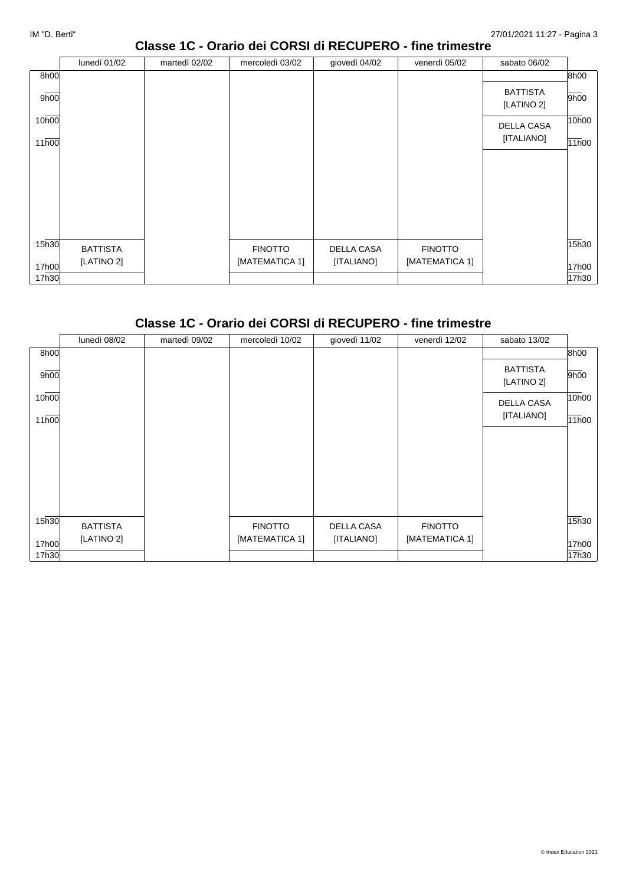### **Classe 1C - Orario dei CORSI di RECUPERO - fine trimestre**

|                   | lunedì 01/02    | martedì 02/02 | mercoledì 03/02 | giovedì 04/02     | venerdì 05/02  | sabato 06/02                  |       |
|-------------------|-----------------|---------------|-----------------|-------------------|----------------|-------------------------------|-------|
| 8h00              |                 |               |                 |                   |                |                               | 8h00  |
| 9h00              |                 |               |                 |                   |                | <b>BATTISTA</b><br>[LATINO 2] | 9h00  |
| 10h00             |                 |               |                 |                   |                | DELLA CASA                    | 10h00 |
| 11h00             |                 |               |                 |                   |                | [ITALIANO]                    | 11h00 |
|                   |                 |               |                 |                   |                |                               |       |
|                   |                 |               |                 |                   |                |                               |       |
|                   |                 |               |                 |                   |                |                               |       |
|                   |                 |               |                 |                   |                |                               |       |
|                   |                 |               |                 |                   |                |                               |       |
| 15 <sub>h30</sub> |                 |               |                 |                   |                |                               | 15h30 |
|                   | <b>BATTISTA</b> |               | <b>FINOTTO</b>  | <b>DELLA CASA</b> | <b>FINOTTO</b> |                               |       |
| 17h00             | [LATINO 2]      |               | [MATEMATICA 1]  | [ITALIANO]        | [MATEMATICA 1] |                               | 17h00 |
| 17h30             |                 |               |                 |                   |                |                               | 17h30 |

# **Classe 1C - Orario dei CORSI di RECUPERO - fine trimestre**

|       | lunedì 08/02    | martedì 09/02 | mercoledì 10/02 | giovedì 11/02 | venerdì 12/02  | sabato 13/02                  |       |
|-------|-----------------|---------------|-----------------|---------------|----------------|-------------------------------|-------|
| 8h00  |                 |               |                 |               |                |                               | 8h00  |
| 9h00  |                 |               |                 |               |                | <b>BATTISTA</b><br>[LATINO 2] | 9h00  |
| 10h00 |                 |               |                 |               |                | <b>DELLA CASA</b>             | 10h00 |
| 11h00 |                 |               |                 |               |                | [ITALIANO]                    | 11h00 |
|       |                 |               |                 |               |                |                               |       |
|       |                 |               |                 |               |                |                               |       |
|       |                 |               |                 |               |                |                               |       |
|       |                 |               |                 |               |                |                               |       |
| 15h30 | <b>BATTISTA</b> |               | <b>FINOTTO</b>  | DELLA CASA    | <b>FINOTTO</b> |                               | 15h30 |
| 17h00 | [LATINO 2]      |               | [MATEMATICA 1]  | [ITALIANO]    | [MATEMATICA 1] |                               | 17h00 |
| 17h30 |                 |               |                 |               |                |                               | 17h30 |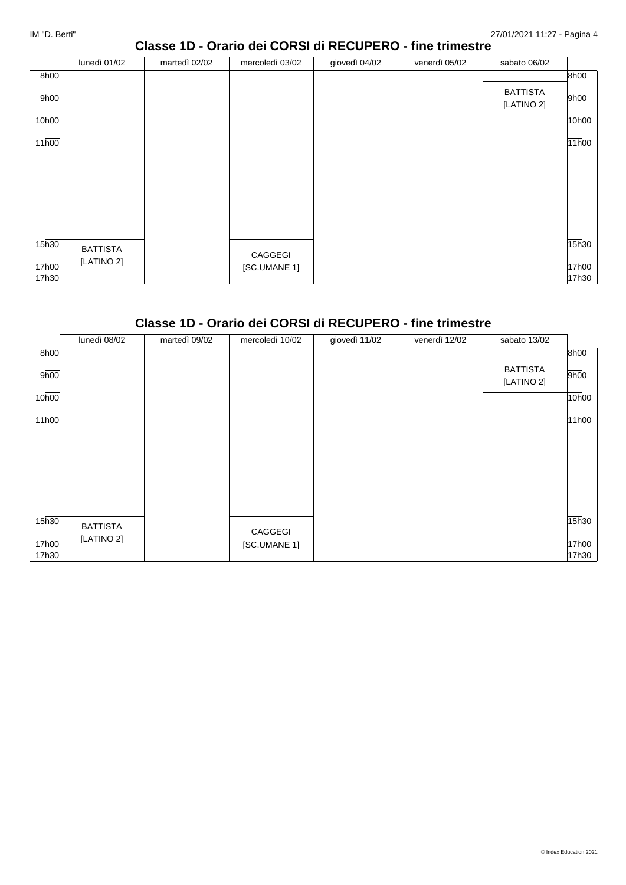## **Classe 1D - Orario dei CORSI di RECUPERO - fine trimestre**

|                   | lunedì 01/02    | martedì 02/02 | mercoledì 03/02 | giovedì 04/02 | venerdì 05/02 | sabato 06/02                  |       |
|-------------------|-----------------|---------------|-----------------|---------------|---------------|-------------------------------|-------|
| 8h00              |                 |               |                 |               |               |                               | 8h00  |
| 9h00              |                 |               |                 |               |               | <b>BATTISTA</b><br>[LATINO 2] | 9h00  |
| 10h00             |                 |               |                 |               |               |                               | 10h00 |
| 11h00             |                 |               |                 |               |               |                               | 11h00 |
|                   |                 |               |                 |               |               |                               |       |
|                   |                 |               |                 |               |               |                               |       |
|                   |                 |               |                 |               |               |                               |       |
|                   |                 |               |                 |               |               |                               |       |
|                   |                 |               |                 |               |               |                               |       |
| 15 <sub>h30</sub> | <b>BATTISTA</b> |               | CAGGEGI         |               |               |                               | 15h30 |
| 17h00             | [LATINO 2]      |               | [SC.UMANE 1]    |               |               |                               | 17h00 |
| 17h30             |                 |               |                 |               |               |                               | 17h30 |

#### **Classe 1D - Orario dei CORSI di RECUPERO - fine trimestre**

|       | lunedì 08/02    | martedì 09/02 | mercoledì 10/02         | giovedì 11/02 | venerdì 12/02 | sabato 13/02                  |       |
|-------|-----------------|---------------|-------------------------|---------------|---------------|-------------------------------|-------|
| 8h00  |                 |               |                         |               |               |                               | 8h00  |
| 9h00  |                 |               |                         |               |               | <b>BATTISTA</b><br>[LATINO 2] | 9h00  |
| 10h00 |                 |               |                         |               |               |                               | 10h00 |
| 11h00 |                 |               |                         |               |               |                               | 11h00 |
|       |                 |               |                         |               |               |                               |       |
|       |                 |               |                         |               |               |                               |       |
|       |                 |               |                         |               |               |                               |       |
| 15h30 | <b>BATTISTA</b> |               |                         |               |               |                               | 15h30 |
| 17h00 | [LATINO 2]      |               | CAGGEGI<br>[SC.UMANE 1] |               |               |                               | 17h00 |
| 17h30 |                 |               |                         |               |               |                               | 17h30 |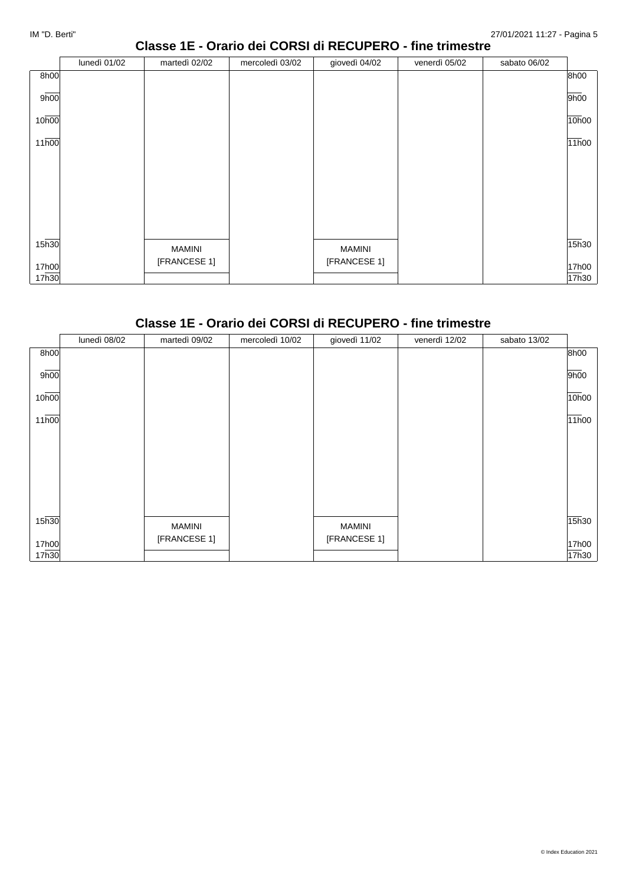# **Classe 1E - Orario dei CORSI di RECUPERO - fine trimestre**

|       | lunedì 01/02 | martedì 02/02 | mercoledì 03/02 | giovedì 04/02 | venerdì 05/02 | sabato 06/02 |       |
|-------|--------------|---------------|-----------------|---------------|---------------|--------------|-------|
| 8h00  |              |               |                 |               |               |              | 8h00  |
| 9h00  |              |               |                 |               |               |              | 9h00  |
| 10h00 |              |               |                 |               |               |              | 10h00 |
| 11h00 |              |               |                 |               |               |              | 11h00 |
|       |              |               |                 |               |               |              |       |
|       |              |               |                 |               |               |              |       |
|       |              |               |                 |               |               |              |       |
|       |              |               |                 |               |               |              |       |
| 15h30 |              | MAMINI        |                 | MAMINI        |               |              | 15h30 |
| 17h00 |              | [FRANCESE 1]  |                 | [FRANCESE 1]  |               |              | 17h00 |
| 17h30 |              |               |                 |               |               |              | 17h30 |

# **Classe 1E - Orario dei CORSI di RECUPERO - fine trimestre**

|       | lunedì 08/02 | martedì 09/02 | mercoledì 10/02 | giovedì 11/02 | venerdì 12/02 | sabato 13/02 |       |
|-------|--------------|---------------|-----------------|---------------|---------------|--------------|-------|
| 8h00  |              |               |                 |               |               |              | 8h00  |
| 9h00  |              |               |                 |               |               |              | 9h00  |
| 10h00 |              |               |                 |               |               |              | 10h00 |
| 11h00 |              |               |                 |               |               |              | 11h00 |
|       |              |               |                 |               |               |              |       |
|       |              |               |                 |               |               |              |       |
|       |              |               |                 |               |               |              |       |
|       |              |               |                 |               |               |              |       |
| 15h30 |              | <b>MAMINI</b> |                 | <b>MAMINI</b> |               |              | 15h30 |
| 17h00 |              | [FRANCESE 1]  |                 | [FRANCESE 1]  |               |              | 17h00 |
| 17h30 |              |               |                 |               |               |              | 17h30 |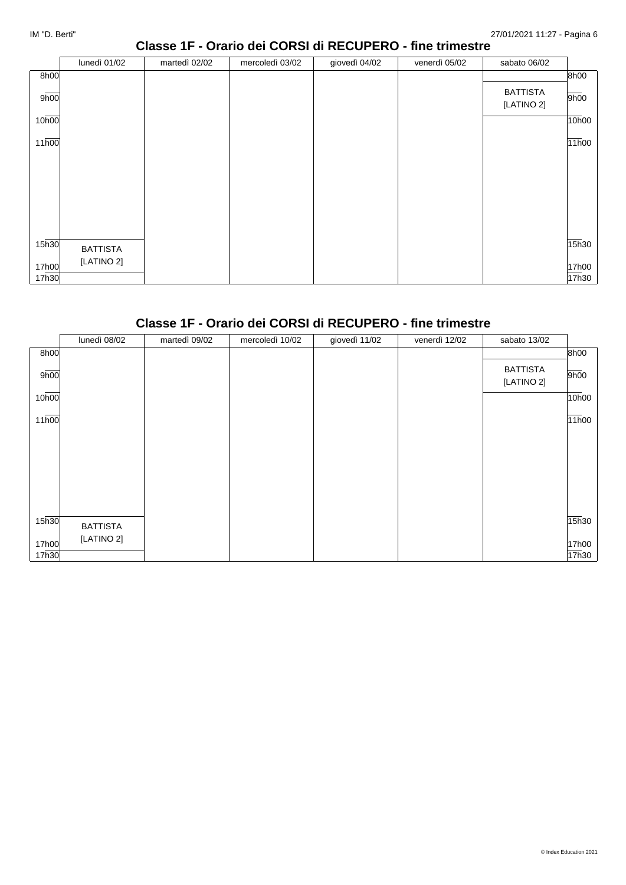## **Classe 1F - Orario dei CORSI di RECUPERO - fine trimestre**

|                   | lunedì 01/02                  | martedì 02/02 | mercoledì 03/02 | giovedì 04/02 | venerdì 05/02 | sabato 06/02                  |                |
|-------------------|-------------------------------|---------------|-----------------|---------------|---------------|-------------------------------|----------------|
| 8h00              |                               |               |                 |               |               |                               | 8h00           |
| 9h00              |                               |               |                 |               |               | <b>BATTISTA</b><br>[LATINO 2] | 9h00           |
| 10 <sub>h00</sub> |                               |               |                 |               |               |                               | $\sqrt{10h}00$ |
| 11 <sub>h00</sub> |                               |               |                 |               |               |                               | 11h00          |
|                   |                               |               |                 |               |               |                               |                |
|                   |                               |               |                 |               |               |                               |                |
|                   |                               |               |                 |               |               |                               |                |
|                   |                               |               |                 |               |               |                               |                |
| 15 <sub>h30</sub> |                               |               |                 |               |               |                               | 15h30          |
|                   | <b>BATTISTA</b><br>[LATINO 2] |               |                 |               |               |                               |                |
| 17h00<br>17h30    |                               |               |                 |               |               |                               | 17h00<br>17h30 |

# **Classe 1F - Orario dei CORSI di RECUPERO - fine trimestre**

|       | lunedì 08/02    | martedì 09/02 | mercoledì 10/02 | giovedì 11/02 | venerdì 12/02 | sabato 13/02                  |       |
|-------|-----------------|---------------|-----------------|---------------|---------------|-------------------------------|-------|
| 8h00  |                 |               |                 |               |               |                               | 8h00  |
| 9h00  |                 |               |                 |               |               | <b>BATTISTA</b><br>[LATINO 2] | 9h00  |
| 10h00 |                 |               |                 |               |               |                               | 10h00 |
| 11h00 |                 |               |                 |               |               |                               | 11h00 |
|       |                 |               |                 |               |               |                               |       |
|       |                 |               |                 |               |               |                               |       |
|       |                 |               |                 |               |               |                               |       |
| 15h30 | <b>BATTISTA</b> |               |                 |               |               |                               | 15h30 |
| 17h00 | [LATINO 2]      |               |                 |               |               |                               | 17h00 |
| 17h30 |                 |               |                 |               |               |                               | 17h30 |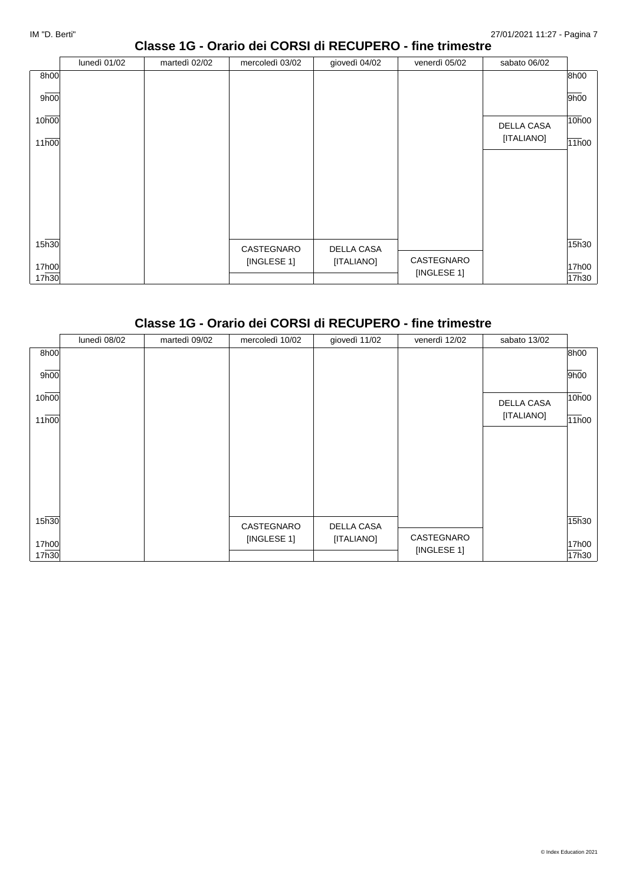#### **Classe 1G - Orario dei CORSI di RECUPERO - fine trimestre**

|       | lunedì 01/02 | martedì 02/02 | mercoledì 03/02 | giovedì 04/02 | venerdì 05/02 | sabato 06/02      |       |
|-------|--------------|---------------|-----------------|---------------|---------------|-------------------|-------|
| 8h00  |              |               |                 |               |               |                   | 8h00  |
| 9h00  |              |               |                 |               |               |                   | 9h00  |
| 10h00 |              |               |                 |               |               | <b>DELLA CASA</b> | 10h00 |
| 11h00 |              |               |                 |               |               | [ITALIANO]        | 11h00 |
|       |              |               |                 |               |               |                   |       |
|       |              |               |                 |               |               |                   |       |
|       |              |               |                 |               |               |                   |       |
|       |              |               |                 |               |               |                   |       |
|       |              |               |                 |               |               |                   |       |
| 15h30 |              |               | CASTEGNARO      | DELLA CASA    |               |                   | 15h30 |
| 17h00 |              |               | [INGLESE 1]     | [ITALIANO]    | CASTEGNARO    |                   | 17h00 |
| 17h30 |              |               |                 |               | [INGLESE 1]   |                   | 17h30 |

#### **Classe 1G - Orario dei CORSI di RECUPERO - fine trimestre**

|                    | lunedì 08/02 | martedì 09/02 | mercoledì 10/02 | giovedì 11/02 | venerdì 12/02             | sabato 13/02 |       |
|--------------------|--------------|---------------|-----------------|---------------|---------------------------|--------------|-------|
| 8h00               |              |               |                 |               |                           |              | 8h00  |
| 9h00               |              |               |                 |               |                           |              | 9h00  |
| 10h00              |              |               |                 |               |                           | DELLA CASA   | 10h00 |
| $11\overline{h00}$ |              |               |                 |               |                           | [ITALIANO]   | 11h00 |
|                    |              |               |                 |               |                           |              |       |
|                    |              |               |                 |               |                           |              |       |
|                    |              |               |                 |               |                           |              |       |
|                    |              |               |                 |               |                           |              |       |
| 15h30              |              |               | CASTEGNARO      | DELLA CASA    |                           |              | 15h30 |
| 17h00              |              |               | [INGLESE 1]     | [ITALIANO]    | CASTEGNARO<br>[INGLESE 1] |              | 17h00 |
| 17h30              |              |               |                 |               |                           |              | 17h30 |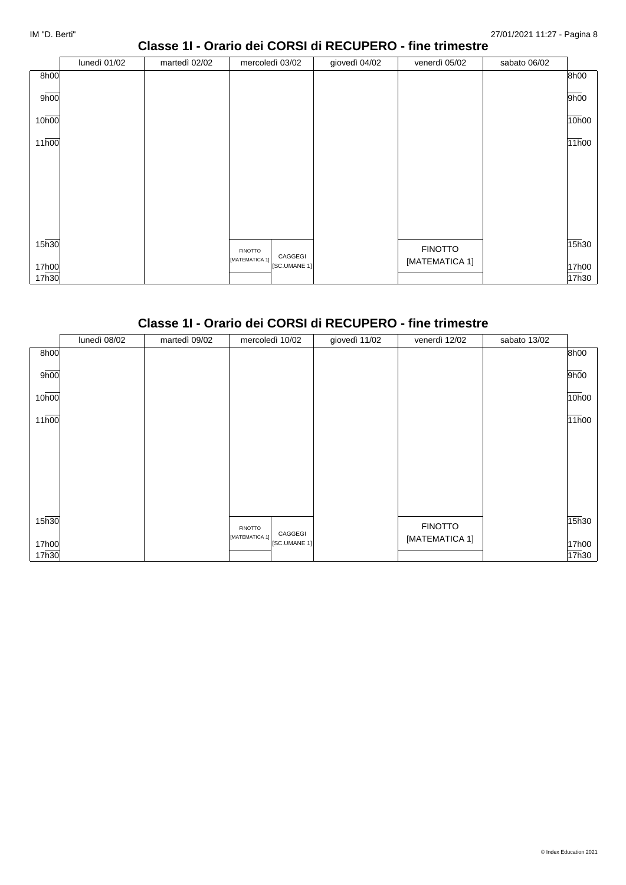#### **Classe 1I - Orario dei CORSI di RECUPERO - fine trimestre**

|                   | lunedì 01/02 | martedì 02/02 | mercoledì 03/02                | giovedì 04/02 | venerdì 05/02  | sabato 06/02 |       |
|-------------------|--------------|---------------|--------------------------------|---------------|----------------|--------------|-------|
| 8h00              |              |               |                                |               |                |              | 8h00  |
| 9h00              |              |               |                                |               |                |              | 9h00  |
| 10 <sub>h00</sub> |              |               |                                |               |                |              | 10h00 |
| 11 <sub>h00</sub> |              |               |                                |               |                |              | 11h00 |
|                   |              |               |                                |               |                |              |       |
|                   |              |               |                                |               |                |              |       |
|                   |              |               |                                |               |                |              |       |
|                   |              |               |                                |               |                |              |       |
| 15 <sub>h30</sub> |              |               | <b>FINOTTO</b><br>CAGGEGI      |               | <b>FINOTTO</b> |              | 15h30 |
| 17h00             |              |               | [MATEMATICA 1]<br>[SC.UMANE 1] |               | [MATEMATICA 1] |              | 17h00 |
| 17h30             |              |               |                                |               |                |              | 17h30 |

#### **Classe 1I - Orario dei CORSI di RECUPERO - fine trimestre**

|       | lunedì 08/02 | martedì 09/02 | mercoledì 10/02                | giovedì 11/02 | venerdì 12/02  | sabato 13/02 |       |
|-------|--------------|---------------|--------------------------------|---------------|----------------|--------------|-------|
| 8h00  |              |               |                                |               |                |              | 8h00  |
| 9h00  |              |               |                                |               |                |              | 9h00  |
| 10h00 |              |               |                                |               |                |              | 10h00 |
| 11h00 |              |               |                                |               |                |              | 11h00 |
|       |              |               |                                |               |                |              |       |
|       |              |               |                                |               |                |              |       |
|       |              |               |                                |               |                |              |       |
|       |              |               |                                |               |                |              |       |
|       |              |               |                                |               |                |              |       |
|       |              |               |                                |               |                |              |       |
| 15h30 |              |               | <b>FINOTTO</b><br>CAGGEGI      |               | <b>FINOTTO</b> |              | 15h30 |
| 17h00 |              |               | [MATEMATICA 1]<br>[SC.UMANE 1] |               | [MATEMATICA 1] |              | 17h00 |
| 17h30 |              |               |                                |               |                |              | 17h30 |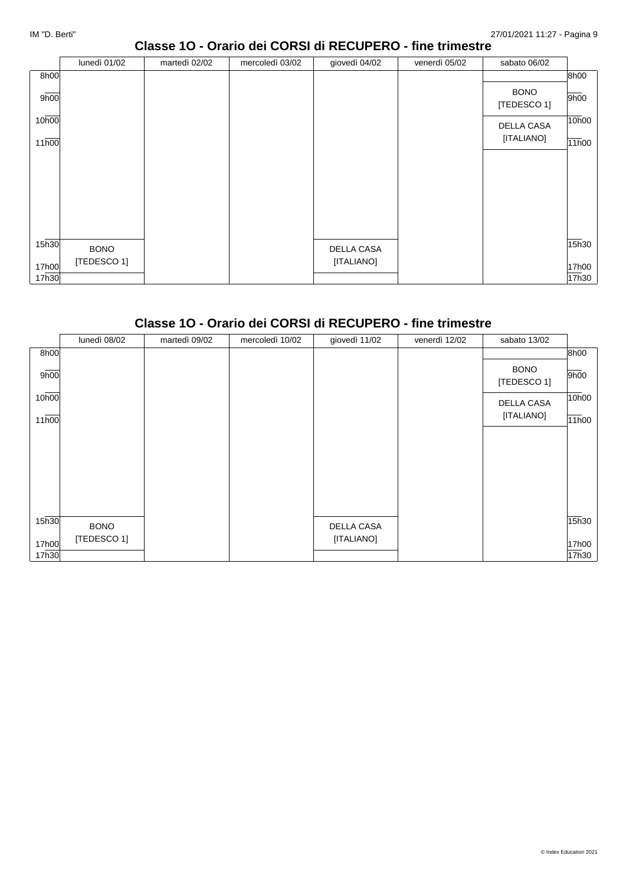#### **Classe 1O - Orario dei CORSI di RECUPERO - fine trimestre**

|                   | lunedì 01/02 | martedì 02/02 | mercoledì 03/02 | giovedì 04/02 | venerdì 05/02 | sabato 06/02               |       |
|-------------------|--------------|---------------|-----------------|---------------|---------------|----------------------------|-------|
| 8h00              |              |               |                 |               |               |                            | 8h00  |
| 9h00              |              |               |                 |               |               | <b>BONO</b><br>[TEDESCO 1] | 9h00  |
| 10h00             |              |               |                 |               |               | DELLA CASA                 | 10h00 |
| 11h00             |              |               |                 |               |               | [ITALIANO]                 | 11h00 |
|                   |              |               |                 |               |               |                            |       |
|                   |              |               |                 |               |               |                            |       |
|                   |              |               |                 |               |               |                            |       |
|                   |              |               |                 |               |               |                            |       |
|                   |              |               |                 |               |               |                            |       |
| 15 <sub>h30</sub> | <b>BONO</b>  |               |                 | DELLA CASA    |               |                            | 15h30 |
| 17h00             | [TEDESCO 1]  |               |                 | [ITALIANO]    |               |                            | 17h00 |
| 17h30             |              |               |                 |               |               |                            | 17h30 |

# **Classe 1O - Orario dei CORSI di RECUPERO - fine trimestre**

|                   | lunedì 08/02 | martedì 09/02 | mercoledì 10/02 | giovedì 11/02     | venerdì 12/02 | sabato 13/02               |       |
|-------------------|--------------|---------------|-----------------|-------------------|---------------|----------------------------|-------|
| 8h00              |              |               |                 |                   |               |                            | 8h00  |
| 9h00              |              |               |                 |                   |               | <b>BONO</b><br>[TEDESCO 1] | 9h00  |
| 10h00             |              |               |                 |                   |               | DELLA CASA                 | 10h00 |
| 11h00             |              |               |                 |                   |               | [ITALIANO]                 | 11h00 |
|                   |              |               |                 |                   |               |                            |       |
|                   |              |               |                 |                   |               |                            |       |
|                   |              |               |                 |                   |               |                            |       |
|                   |              |               |                 |                   |               |                            |       |
| 15 <sub>h30</sub> | <b>BONO</b>  |               |                 | <b>DELLA CASA</b> |               |                            | 15h30 |
| 17h00             | [TEDESCO 1]  |               |                 | [ITALIANO]        |               |                            | 17h00 |
| 17h30             |              |               |                 |                   |               |                            | 17h30 |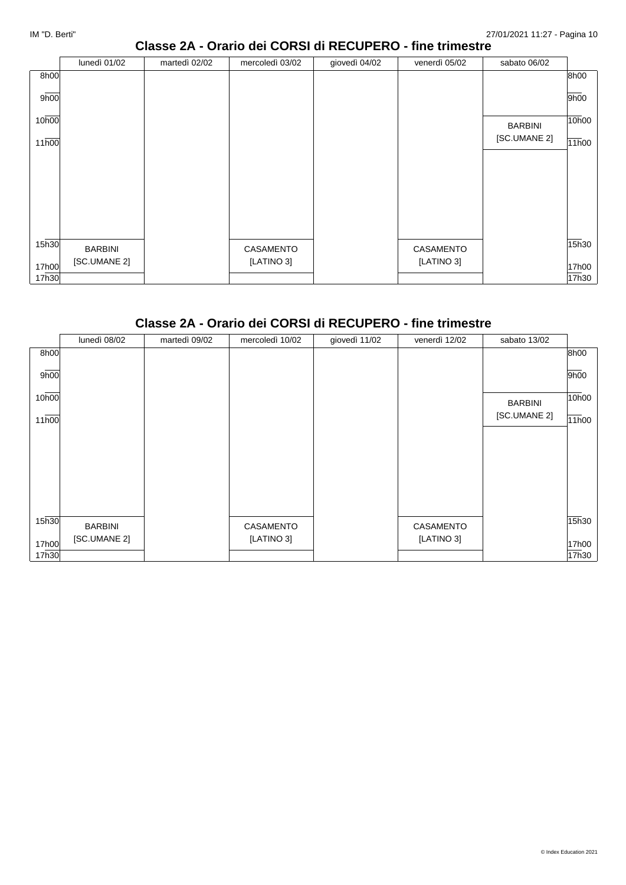### **Classe 2A - Orario dei CORSI di RECUPERO - fine trimestre**

|                   | lunedì 01/02   | martedì 02/02 | mercoledì 03/02 | giovedì 04/02 | venerdì 05/02 | sabato 06/02   |                |
|-------------------|----------------|---------------|-----------------|---------------|---------------|----------------|----------------|
| 8h00              |                |               |                 |               |               |                | 8h00           |
| 9h00              |                |               |                 |               |               |                | 9h00           |
| 10 <sub>h00</sub> |                |               |                 |               |               | <b>BARBINI</b> | 10h00          |
| 11h00             |                |               |                 |               |               | [SC.UMANE 2]   | 11h00          |
|                   |                |               |                 |               |               |                |                |
|                   |                |               |                 |               |               |                |                |
|                   |                |               |                 |               |               |                |                |
|                   |                |               |                 |               |               |                |                |
| 15 <sub>h30</sub> | <b>BARBINI</b> |               | CASAMENTO       |               | CASAMENTO     |                | $\sqrt{15h}30$ |
| 17h00             | [SC.UMANE 2]   |               | [LATINO 3]      |               | [LATINO 3]    |                | 17h00          |
| 17h30             |                |               |                 |               |               |                | 17h30          |

#### **Classe 2A - Orario dei CORSI di RECUPERO - fine trimestre**

|       | lunedì 08/02 | martedì 09/02 | mercoledì 10/02 | giovedì 11/02 | venerdì 12/02 | sabato 13/02   |       |
|-------|--------------|---------------|-----------------|---------------|---------------|----------------|-------|
| 8h00  |              |               |                 |               |               |                | 8h00  |
| 9h00  |              |               |                 |               |               |                | 9h00  |
| 10h00 |              |               |                 |               |               | <b>BARBINI</b> | 10h00 |
| 11h00 |              |               |                 |               |               | [SC.UMANE 2]   | 11h00 |
|       |              |               |                 |               |               |                |       |
|       |              |               |                 |               |               |                |       |
|       |              |               |                 |               |               |                |       |
|       |              |               |                 |               |               |                |       |
| 15h30 | BARBINI      |               | CASAMENTO       |               | CASAMENTO     |                | 15h30 |
| 17h00 | [SC.UMANE 2] |               | [LATINO 3]      |               | [LATINO 3]    |                | 17h00 |
| 17h30 |              |               |                 |               |               |                | 17h30 |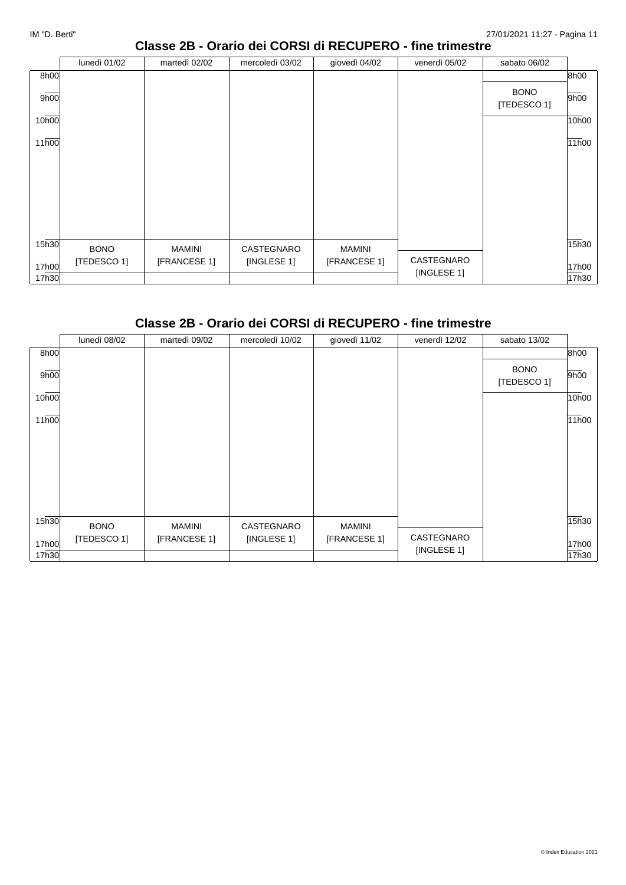#### **Classe 2B - Orario dei CORSI di RECUPERO - fine trimestre**

|                   | lunedì 01/02 | martedì 02/02 | mercoledì 03/02 | giovedì 04/02 | venerdì 05/02 | sabato 06/02               |       |
|-------------------|--------------|---------------|-----------------|---------------|---------------|----------------------------|-------|
| 8h00              |              |               |                 |               |               |                            | 8h00  |
| 9h00              |              |               |                 |               |               | <b>BONO</b><br>[TEDESCO 1] | 9h00  |
| 10h00             |              |               |                 |               |               |                            | 10h00 |
| 11h00             |              |               |                 |               |               |                            | 11h00 |
|                   |              |               |                 |               |               |                            |       |
|                   |              |               |                 |               |               |                            |       |
|                   |              |               |                 |               |               |                            |       |
|                   |              |               |                 |               |               |                            |       |
|                   |              |               |                 |               |               |                            |       |
| 15 <sub>h30</sub> | <b>BONO</b>  | MAMINI        | CASTEGNARO      | MAMINI        |               |                            | 15h30 |
| 17h00             | [TEDESCO 1]  | [FRANCESE 1]  | [INGLESE 1]     | [FRANCESE 1]  | CASTEGNARO    |                            | 17h00 |
| 17h30             |              |               |                 |               | [INGLESE 1]   |                            | 17h30 |

# **Classe 2B - Orario dei CORSI di RECUPERO - fine trimestre**

|       | lunedì 08/02 | martedì 09/02 | mercoledì 10/02 | giovedì 11/02 | venerdì 12/02 | sabato 13/02               |       |
|-------|--------------|---------------|-----------------|---------------|---------------|----------------------------|-------|
| 8h00  |              |               |                 |               |               |                            | 8h00  |
| 9h00  |              |               |                 |               |               | <b>BONO</b><br>[TEDESCO 1] | 9h00  |
| 10h00 |              |               |                 |               |               |                            | 10h00 |
| 11h00 |              |               |                 |               |               |                            | 11h00 |
|       |              |               |                 |               |               |                            |       |
|       |              |               |                 |               |               |                            |       |
|       |              |               |                 |               |               |                            |       |
| 15h30 | <b>BONO</b>  | <b>MAMINI</b> | CASTEGNARO      | <b>MAMINI</b> |               |                            | 15h30 |
| 17h00 | [TEDESCO 1]  | [FRANCESE 1]  | [INGLESE 1]     | [FRANCESE 1]  | CASTEGNARO    |                            | 17h00 |
| 17h30 |              |               |                 |               | [INGLESE 1]   |                            | 17h30 |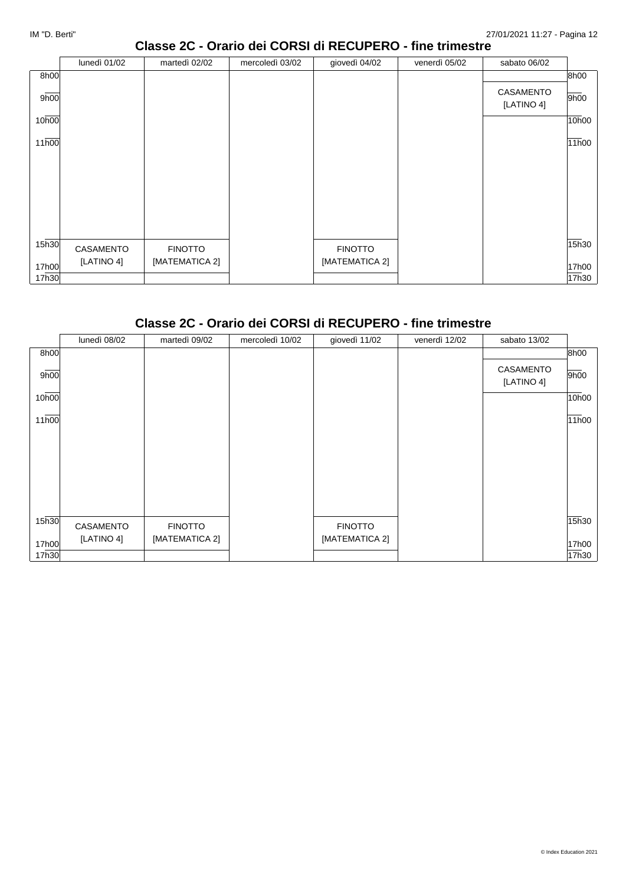### **Classe 2C - Orario dei CORSI di RECUPERO - fine trimestre**

|                   | lunedì 01/02 | martedì 02/02  | mercoledì 03/02 | giovedì 04/02  | venerdì 05/02 | sabato 06/02            |       |
|-------------------|--------------|----------------|-----------------|----------------|---------------|-------------------------|-------|
| 8h00              |              |                |                 |                |               |                         | 8h00  |
| 9h00              |              |                |                 |                |               | CASAMENTO<br>[LATINO 4] | 9h00  |
| 10h00             |              |                |                 |                |               |                         | 10h00 |
| 11h00             |              |                |                 |                |               |                         | 11h00 |
|                   |              |                |                 |                |               |                         |       |
|                   |              |                |                 |                |               |                         |       |
|                   |              |                |                 |                |               |                         |       |
|                   |              |                |                 |                |               |                         |       |
|                   |              |                |                 |                |               |                         |       |
| 15 <sub>h30</sub> | CASAMENTO    | <b>FINOTTO</b> |                 | <b>FINOTTO</b> |               |                         | 15h30 |
| 17h00             | [LATINO 4]   | [MATEMATICA 2] |                 | [MATEMATICA 2] |               |                         | 17h00 |
| 17h30             |              |                |                 |                |               |                         | 17h30 |

# **Classe 2C - Orario dei CORSI di RECUPERO - fine trimestre**

|       | lunedì 08/02 | martedì 09/02  | mercoledì 10/02 | giovedì 11/02  | venerdì 12/02 | sabato 13/02            |       |
|-------|--------------|----------------|-----------------|----------------|---------------|-------------------------|-------|
| 8h00  |              |                |                 |                |               |                         | 8h00  |
| 9h00  |              |                |                 |                |               | CASAMENTO<br>[LATINO 4] | 9h00  |
| 10h00 |              |                |                 |                |               |                         | 10h00 |
| 11h00 |              |                |                 |                |               |                         | 11h00 |
|       |              |                |                 |                |               |                         |       |
|       |              |                |                 |                |               |                         |       |
|       |              |                |                 |                |               |                         |       |
| 15h30 | CASAMENTO    | <b>FINOTTO</b> |                 | <b>FINOTTO</b> |               |                         | 15h30 |
| 17h00 | [LATINO 4]   | [MATEMATICA 2] |                 | [MATEMATICA 2] |               |                         | 17h00 |
| 17h30 |              |                |                 |                |               |                         | 17h30 |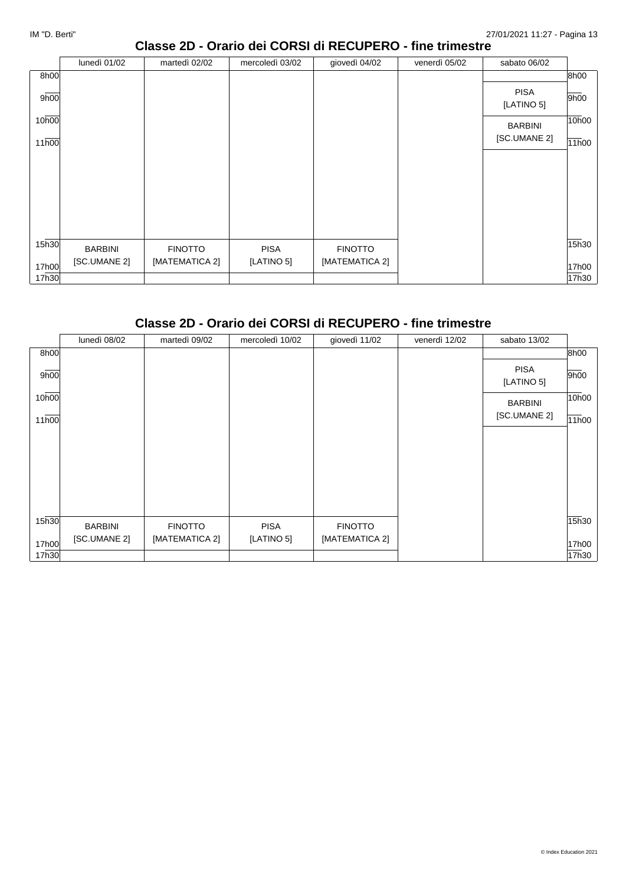## **Classe 2D - Orario dei CORSI di RECUPERO - fine trimestre**

|                   | lunedì 01/02   | martedì 02/02  | mercoledì 03/02 | giovedì 04/02  | venerdì 05/02 | sabato 06/02              |       |
|-------------------|----------------|----------------|-----------------|----------------|---------------|---------------------------|-------|
| 8h00              |                |                |                 |                |               |                           | 8h00  |
| 9h00              |                |                |                 |                |               | <b>PISA</b><br>[LATINO 5] | 9h00  |
| 10h00             |                |                |                 |                |               | <b>BARBINI</b>            | 10h00 |
| 11h00             |                |                |                 |                |               | [SC.UMANE 2]              | 11h00 |
|                   |                |                |                 |                |               |                           |       |
|                   |                |                |                 |                |               |                           |       |
|                   |                |                |                 |                |               |                           |       |
|                   |                |                |                 |                |               |                           |       |
|                   |                |                |                 |                |               |                           |       |
| 15 <sub>h30</sub> | <b>BARBINI</b> | <b>FINOTTO</b> | <b>PISA</b>     | <b>FINOTTO</b> |               |                           | 15h30 |
| 17h00             | [SC.UMANE 2]   | [MATEMATICA 2] | [LATINO 5]      | [MATEMATICA 2] |               |                           | 17h00 |
| 17h30             |                |                |                 |                |               |                           | 17h30 |

#### **Classe 2D - Orario dei CORSI di RECUPERO - fine trimestre**

|       | lunedì 08/02   | martedì 09/02  | mercoledì 10/02 | giovedì 11/02  | venerdì 12/02 | sabato 13/02              |       |
|-------|----------------|----------------|-----------------|----------------|---------------|---------------------------|-------|
| 8h00  |                |                |                 |                |               |                           | 8h00  |
| 9h00  |                |                |                 |                |               | <b>PISA</b><br>[LATINO 5] | 9h00  |
| 10h00 |                |                |                 |                |               | <b>BARBINI</b>            | 10h00 |
| 11h00 |                |                |                 |                |               | [SC.UMANE 2]              | 11h00 |
|       |                |                |                 |                |               |                           |       |
|       |                |                |                 |                |               |                           |       |
|       |                |                |                 |                |               |                           |       |
|       |                |                |                 |                |               |                           |       |
| 15h30 | <b>BARBINI</b> | <b>FINOTTO</b> | <b>PISA</b>     | <b>FINOTTO</b> |               |                           | 15h30 |
| 17h00 | [SC.UMANE 2]   | [MATEMATICA 2] | [LATINO 5]      | [MATEMATICA 2] |               |                           | 17h00 |
| 17h30 |                |                |                 |                |               |                           | 17h30 |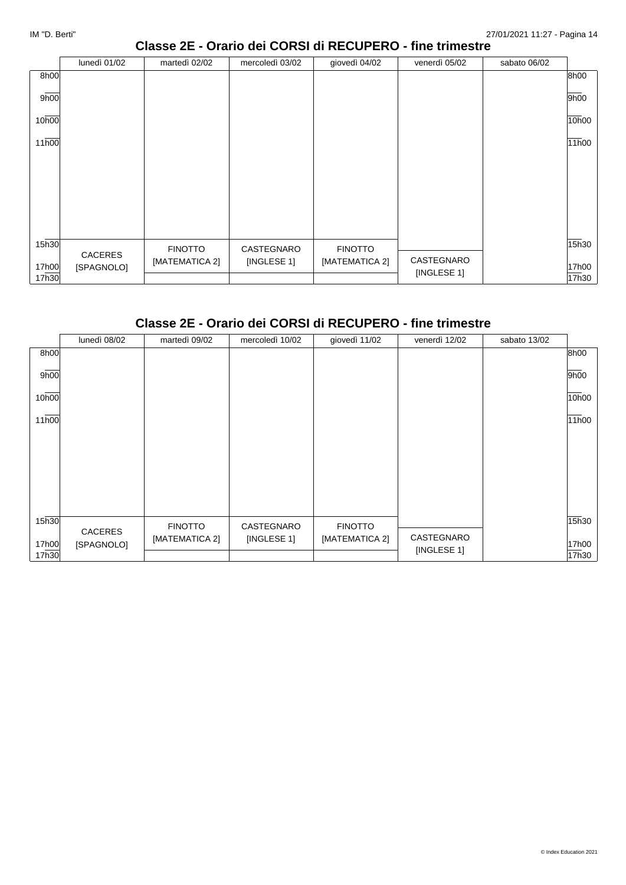## **Classe 2E - Orario dei CORSI di RECUPERO - fine trimestre**

|                   | lunedì 01/02          | martedì 02/02  | mercoledì 03/02 | giovedì 04/02  | venerdì 05/02 | sabato 06/02 |       |
|-------------------|-----------------------|----------------|-----------------|----------------|---------------|--------------|-------|
| 8h00              |                       |                |                 |                |               |              | 8h00  |
| 9h00              |                       |                |                 |                |               |              | 9h00  |
| 10h00             |                       |                |                 |                |               |              | 10h00 |
| 11h00             |                       |                |                 |                |               |              | 11h00 |
|                   |                       |                |                 |                |               |              |       |
|                   |                       |                |                 |                |               |              |       |
|                   |                       |                |                 |                |               |              |       |
|                   |                       |                |                 |                |               |              |       |
| 15 <sub>h30</sub> |                       | <b>FINOTTO</b> | CASTEGNARO      | <b>FINOTTO</b> |               |              | 15h30 |
| 17h00             | CACERES<br>[SPAGNOLO] | [MATEMATICA 2] | [INGLESE 1]     | [MATEMATICA 2] | CASTEGNARO    |              | 17h00 |
| 17h30             |                       |                |                 |                | [INGLESE 1]   |              | 17h30 |

# **Classe 2E - Orario dei CORSI di RECUPERO - fine trimestre**

|       | lunedì 08/02          | martedì 09/02  | mercoledì 10/02 | giovedì 11/02  | venerdì 12/02             | sabato 13/02 |       |
|-------|-----------------------|----------------|-----------------|----------------|---------------------------|--------------|-------|
| 8h00  |                       |                |                 |                |                           |              | 8h00  |
| 9h00  |                       |                |                 |                |                           |              | 9h00  |
| 10h00 |                       |                |                 |                |                           |              | 10h00 |
| 11h00 |                       |                |                 |                |                           |              | 11h00 |
|       |                       |                |                 |                |                           |              |       |
|       |                       |                |                 |                |                           |              |       |
|       |                       |                |                 |                |                           |              |       |
|       |                       |                |                 |                |                           |              |       |
| 15h30 |                       | <b>FINOTTO</b> | CASTEGNARO      | <b>FINOTTO</b> |                           |              | 15h30 |
| 17h00 | CACERES<br>[SPAGNOLO] | [MATEMATICA 2] | [INGLESE 1]     | [MATEMATICA 2] | CASTEGNARO<br>[INGLESE 1] |              | 17h00 |
| 17h30 |                       |                |                 |                |                           |              | 17h30 |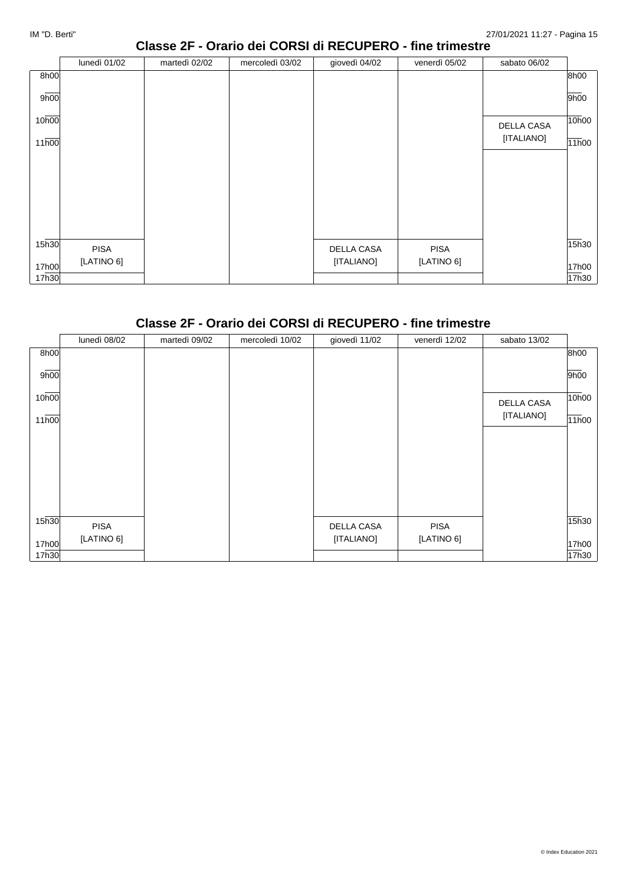#### **Classe 2F - Orario dei CORSI di RECUPERO - fine trimestre**

|                   | lunedì 01/02 | martedì 02/02 | mercoledì 03/02 | giovedì 04/02     | venerdì 05/02 | sabato 06/02      |       |
|-------------------|--------------|---------------|-----------------|-------------------|---------------|-------------------|-------|
| 8h00              |              |               |                 |                   |               |                   | 8h00  |
| 9h00              |              |               |                 |                   |               |                   | 9h00  |
| 10h00             |              |               |                 |                   |               | <b>DELLA CASA</b> | 10h00 |
| 11h00             |              |               |                 |                   |               | [ITALIANO]        | 11h00 |
|                   |              |               |                 |                   |               |                   |       |
|                   |              |               |                 |                   |               |                   |       |
|                   |              |               |                 |                   |               |                   |       |
|                   |              |               |                 |                   |               |                   |       |
|                   |              |               |                 |                   |               |                   |       |
| 15 <sub>h30</sub> |              |               |                 |                   |               |                   | 15h30 |
|                   | <b>PISA</b>  |               |                 | <b>DELLA CASA</b> | <b>PISA</b>   |                   |       |
| 17h00             | [LATINO 6]   |               |                 | [ITALIANO]        | [LATINO 6]    |                   | 17h00 |
| 17h30             |              |               |                 |                   |               |                   | 17h30 |

# **Classe 2F - Orario dei CORSI di RECUPERO - fine trimestre**

|       | lunedì 08/02 | martedì 09/02 | mercoledì 10/02 | giovedì 11/02     | venerdì 12/02 | sabato 13/02      |       |
|-------|--------------|---------------|-----------------|-------------------|---------------|-------------------|-------|
| 8h00  |              |               |                 |                   |               |                   | 8h00  |
| 9h00  |              |               |                 |                   |               |                   | 9h00  |
| 10h00 |              |               |                 |                   |               | <b>DELLA CASA</b> | 10h00 |
| 11h00 |              |               |                 |                   |               | [ITALIANO]        | 11h00 |
|       |              |               |                 |                   |               |                   |       |
|       |              |               |                 |                   |               |                   |       |
|       |              |               |                 |                   |               |                   |       |
|       |              |               |                 |                   |               |                   |       |
| 15h30 | <b>PISA</b>  |               |                 | <b>DELLA CASA</b> | <b>PISA</b>   |                   | 15h30 |
| 17h00 | [LATINO 6]   |               |                 | [ITALIANO]        | [LATINO 6]    |                   | 17h00 |
| 17h30 |              |               |                 |                   |               |                   | 17h30 |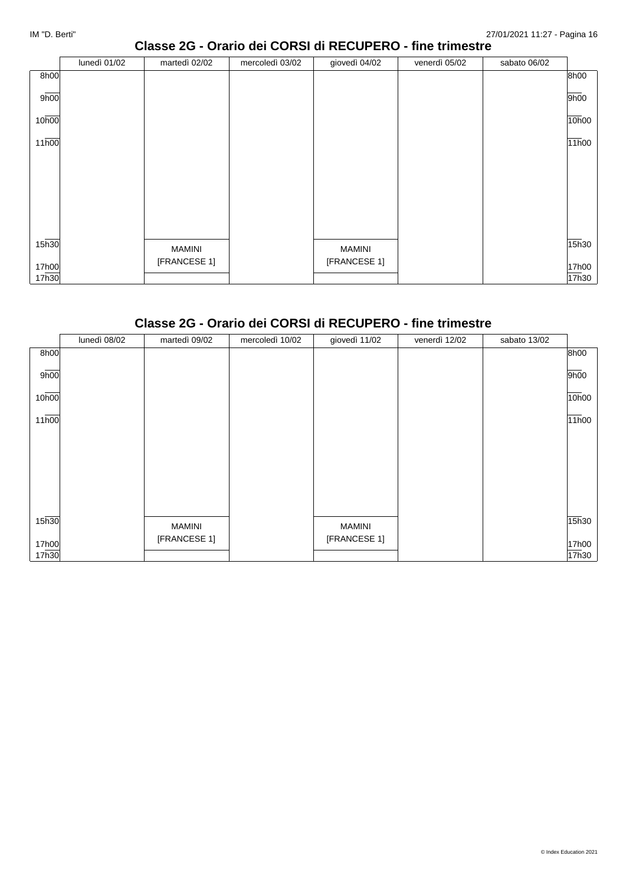## **Classe 2G - Orario dei CORSI di RECUPERO - fine trimestre**

|                   | lunedì 01/02 | martedì 02/02 | mercoledì 03/02 | giovedì 04/02 | venerdì 05/02 | sabato 06/02 |       |
|-------------------|--------------|---------------|-----------------|---------------|---------------|--------------|-------|
| 8h00              |              |               |                 |               |               |              | 8h00  |
| 9h00              |              |               |                 |               |               |              | 9h00  |
| 10h00             |              |               |                 |               |               |              | 10h00 |
| 11 <sub>h00</sub> |              |               |                 |               |               |              | 11h00 |
|                   |              |               |                 |               |               |              |       |
|                   |              |               |                 |               |               |              |       |
|                   |              |               |                 |               |               |              |       |
|                   |              |               |                 |               |               |              |       |
| 15h30             |              | <b>MAMINI</b> |                 | <b>MAMINI</b> |               |              | 15h30 |
| 17h00             |              | [FRANCESE 1]  |                 | [FRANCESE 1]  |               |              | 17h00 |
| 17h30             |              |               |                 |               |               |              | 17h30 |

#### **Classe 2G - Orario dei CORSI di RECUPERO - fine trimestre**

|                    | lunedì 08/02 | martedì 09/02 | mercoledì 10/02 | giovedì 11/02 | venerdì 12/02 | sabato 13/02 |       |
|--------------------|--------------|---------------|-----------------|---------------|---------------|--------------|-------|
| 8h00               |              |               |                 |               |               |              | 8h00  |
| 9h00               |              |               |                 |               |               |              | 9h00  |
| 10h00              |              |               |                 |               |               |              | 10h00 |
| $11\overline{h00}$ |              |               |                 |               |               |              | 11h00 |
|                    |              |               |                 |               |               |              |       |
|                    |              |               |                 |               |               |              |       |
|                    |              |               |                 |               |               |              |       |
|                    |              |               |                 |               |               |              |       |
| 15h30              |              | <b>MAMINI</b> |                 | <b>MAMINI</b> |               |              | 15h30 |
| 17h00              |              | [FRANCESE 1]  |                 | [FRANCESE 1]  |               |              | 17h00 |
| 17h30              |              |               |                 |               |               |              | 17h30 |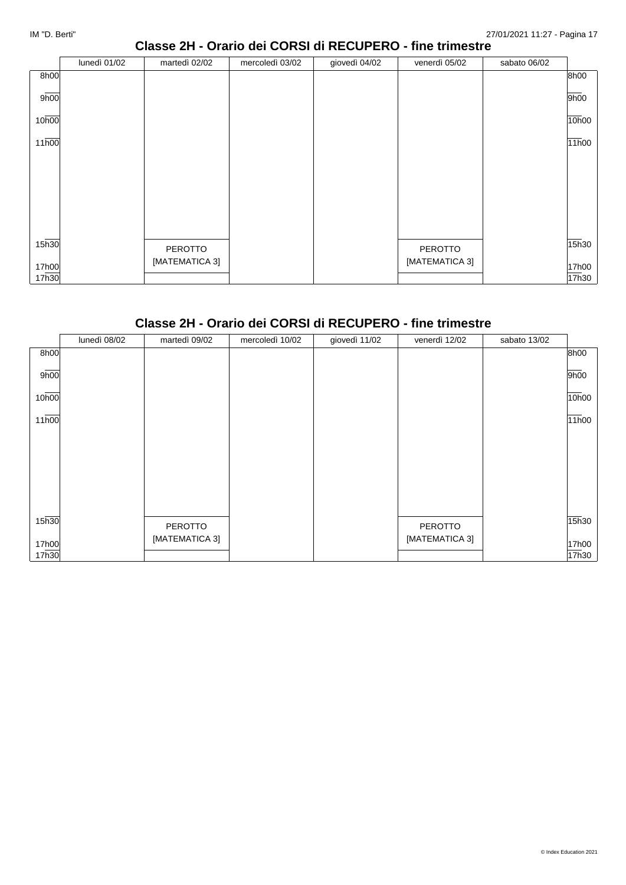## **Classe 2H - Orario dei CORSI di RECUPERO - fine trimestre**

|       | lunedì 01/02 | martedì 02/02  | mercoledì 03/02 | giovedì 04/02 | venerdì 05/02  | sabato 06/02 |       |
|-------|--------------|----------------|-----------------|---------------|----------------|--------------|-------|
| 8h00  |              |                |                 |               |                |              | 8h00  |
| 9h00  |              |                |                 |               |                |              | 9h00  |
| 10h00 |              |                |                 |               |                |              | 10h00 |
| 11h00 |              |                |                 |               |                |              | 11h00 |
|       |              |                |                 |               |                |              |       |
|       |              |                |                 |               |                |              |       |
|       |              |                |                 |               |                |              |       |
|       |              |                |                 |               |                |              |       |
| 15h30 |              |                |                 |               |                |              | 15h30 |
|       |              | PEROTTO        |                 |               | PEROTTO        |              |       |
| 17h00 |              | [MATEMATICA 3] |                 |               | [MATEMATICA 3] |              | 17h00 |
| 17h30 |              |                |                 |               |                |              | 17h30 |

#### **Classe 2H - Orario dei CORSI di RECUPERO - fine trimestre**

|       | lunedì 08/02 | martedì 09/02  | mercoledì 10/02 | giovedì 11/02 | venerdì 12/02  | sabato 13/02 |       |
|-------|--------------|----------------|-----------------|---------------|----------------|--------------|-------|
| 8h00  |              |                |                 |               |                |              | 8h00  |
| 9h00  |              |                |                 |               |                |              | 9h00  |
| 10h00 |              |                |                 |               |                |              | 10h00 |
| 11h00 |              |                |                 |               |                |              | 11h00 |
|       |              |                |                 |               |                |              |       |
|       |              |                |                 |               |                |              |       |
|       |              |                |                 |               |                |              |       |
|       |              |                |                 |               |                |              |       |
| 15h30 |              | PEROTTO        |                 |               | PEROTTO        |              | 15h30 |
| 17h00 |              | [MATEMATICA 3] |                 |               | [MATEMATICA 3] |              | 17h00 |
| 17h30 |              |                |                 |               |                |              | 17h30 |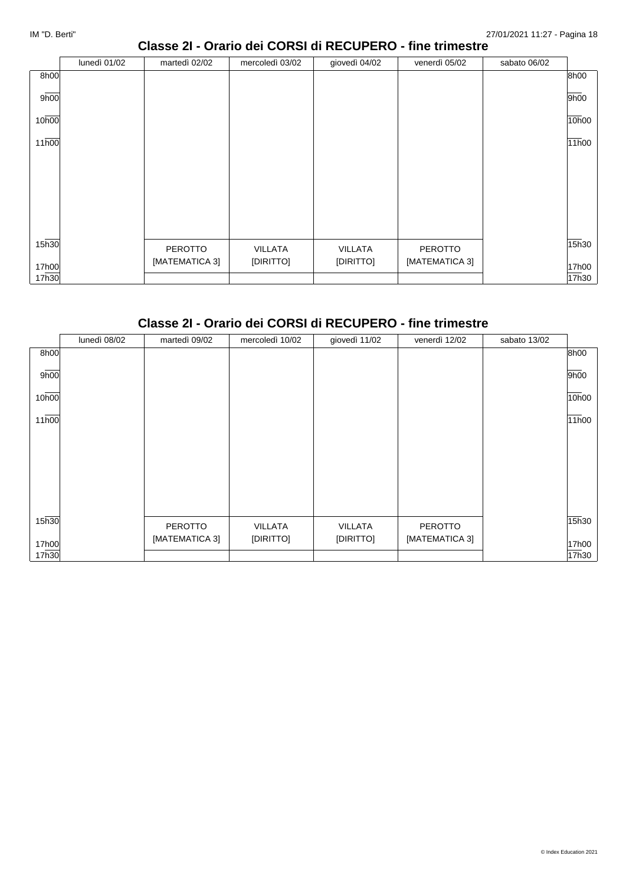## **Classe 2I - Orario dei CORSI di RECUPERO - fine trimestre**

|       | lunedì 01/02 | martedì 02/02  | mercoledì 03/02 | giovedì 04/02  | venerdì 05/02  | sabato 06/02 |       |
|-------|--------------|----------------|-----------------|----------------|----------------|--------------|-------|
| 8h00  |              |                |                 |                |                |              | 8h00  |
| 9h00  |              |                |                 |                |                |              | 9h00  |
| 10h00 |              |                |                 |                |                |              | 10h00 |
| 11h00 |              |                |                 |                |                |              | 11h00 |
|       |              |                |                 |                |                |              |       |
|       |              |                |                 |                |                |              |       |
|       |              |                |                 |                |                |              |       |
|       |              |                |                 |                |                |              |       |
| 15h30 |              | PEROTTO        | VILLATA         | <b>VILLATA</b> | PEROTTO        |              | 15h30 |
| 17h00 |              | [MATEMATICA 3] | [DIRITTO]       | [DIRITTO]      | [MATEMATICA 3] |              | 17h00 |
| 17h30 |              |                |                 |                |                |              | 17h30 |

#### **Classe 2I - Orario dei CORSI di RECUPERO - fine trimestre**

|                    | lunedì 08/02 | martedì 09/02  | mercoledì 10/02 | giovedì 11/02  | venerdì 12/02  | sabato 13/02 |       |
|--------------------|--------------|----------------|-----------------|----------------|----------------|--------------|-------|
| 8h00               |              |                |                 |                |                |              | 8h00  |
| 9h00               |              |                |                 |                |                |              | 9h00  |
| 10h00              |              |                |                 |                |                |              | 10h00 |
| $11\overline{h00}$ |              |                |                 |                |                |              | 11h00 |
|                    |              |                |                 |                |                |              |       |
|                    |              |                |                 |                |                |              |       |
|                    |              |                |                 |                |                |              |       |
|                    |              |                |                 |                |                |              |       |
| 15h30              |              | <b>PEROTTO</b> | VILLATA         | <b>VILLATA</b> | PEROTTO        |              | 15h30 |
| 17h00              |              | [MATEMATICA 3] | [DIRITTO]       | [DIRITTO]      | [MATEMATICA 3] |              | 17h00 |
| 17h30              |              |                |                 |                |                |              | 17h30 |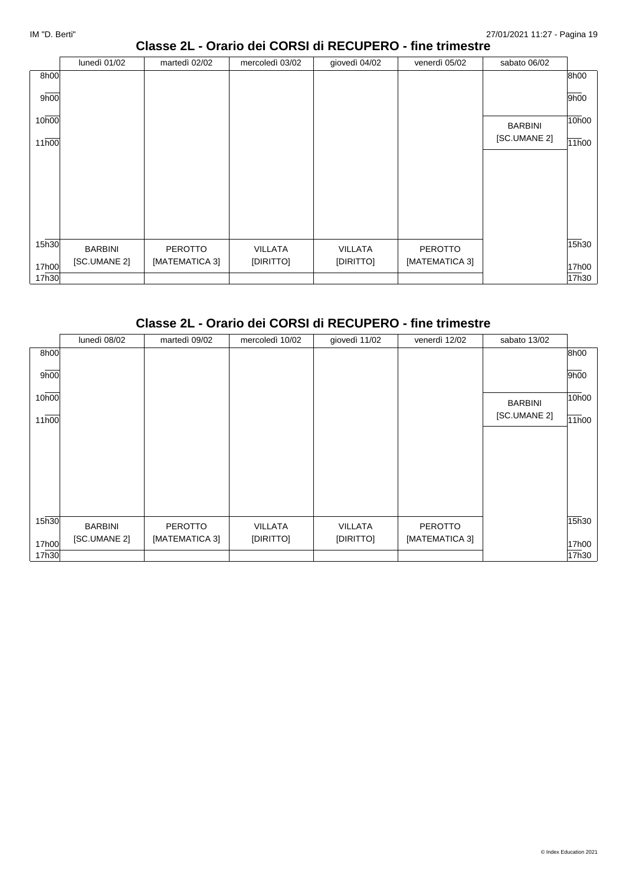## **Classe 2L - Orario dei CORSI di RECUPERO - fine trimestre**

|                   | lunedì 01/02   | martedì 02/02  | mercoledì 03/02 | giovedì 04/02  | venerdì 05/02  | sabato 06/02   |       |
|-------------------|----------------|----------------|-----------------|----------------|----------------|----------------|-------|
| 8h00              |                |                |                 |                |                |                | 8h00  |
| 9h00              |                |                |                 |                |                |                | 9h00  |
| 10h00             |                |                |                 |                |                | <b>BARBINI</b> | 10h00 |
| 11 <sub>h00</sub> |                |                |                 |                |                | [SC.UMANE 2]   | 11h00 |
|                   |                |                |                 |                |                |                |       |
|                   |                |                |                 |                |                |                |       |
|                   |                |                |                 |                |                |                |       |
|                   |                |                |                 |                |                |                |       |
|                   |                |                |                 |                |                |                |       |
|                   |                |                |                 |                |                |                |       |
| 15 <sub>h30</sub> | <b>BARBINI</b> | <b>PEROTTO</b> | VILLATA         | <b>VILLATA</b> | <b>PEROTTO</b> |                | 15h30 |
|                   | [SC.UMANE 2]   | [MATEMATICA 3] | [DIRITTO]       | [DIRITTO]      | [MATEMATICA 3] |                |       |
| 17h00             |                |                |                 |                |                |                | 17h00 |
| 17h30             |                |                |                 |                |                |                | 17h30 |

# **Classe 2L - Orario dei CORSI di RECUPERO - fine trimestre**

|       | lunedì 08/02   | martedì 09/02  | mercoledì 10/02 | giovedì 11/02  | venerdì 12/02  | sabato 13/02   |       |
|-------|----------------|----------------|-----------------|----------------|----------------|----------------|-------|
| 8h00  |                |                |                 |                |                |                | 8h00  |
| 9h00  |                |                |                 |                |                |                | 9h00  |
| 10h00 |                |                |                 |                |                | <b>BARBINI</b> | 10h00 |
| 11h00 |                |                |                 |                |                | [SC.UMANE 2]   | 11h00 |
|       |                |                |                 |                |                |                |       |
|       |                |                |                 |                |                |                |       |
|       |                |                |                 |                |                |                |       |
|       |                |                |                 |                |                |                |       |
| 15h30 | <b>BARBINI</b> | <b>PEROTTO</b> | VILLATA         | <b>VILLATA</b> | PEROTTO        |                | 15h30 |
| 17h00 | [SC.UMANE 2]   | [MATEMATICA 3] | [DIRITTO]       | [DIRITTO]      | [MATEMATICA 3] |                | 17h00 |
| 17h30 |                |                |                 |                |                |                | 17h30 |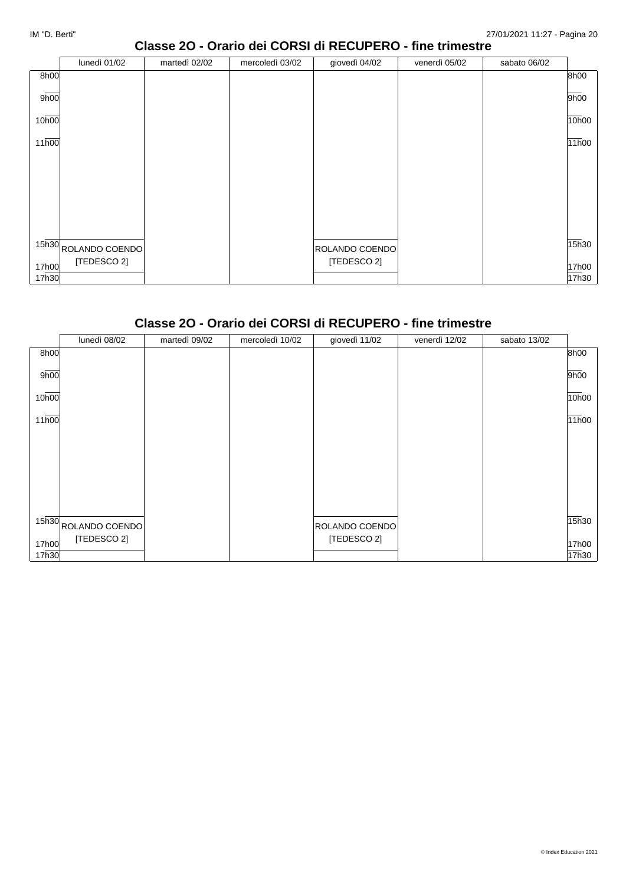#### **Classe 2O - Orario dei CORSI di RECUPERO - fine trimestre**

|       | lunedì 01/02                      | martedì 02/02 | mercoledì 03/02 | giovedì 04/02  | venerdì 05/02 | sabato 06/02 |       |
|-------|-----------------------------------|---------------|-----------------|----------------|---------------|--------------|-------|
| 8h00  |                                   |               |                 |                |               |              | 8h00  |
| 9h00  |                                   |               |                 |                |               |              | 9h00  |
| 10h00 |                                   |               |                 |                |               |              | 10h00 |
| 11h00 |                                   |               |                 |                |               |              | 11h00 |
|       |                                   |               |                 |                |               |              |       |
|       |                                   |               |                 |                |               |              |       |
|       |                                   |               |                 |                |               |              |       |
|       |                                   |               |                 |                |               |              |       |
|       | $15\overline{h30}$ ROLANDO COENDO |               |                 | ROLANDO COENDO |               |              | 15h30 |
| 17h00 | [TEDESCO 2]                       |               |                 | [TEDESCO 2]    |               |              | 17h00 |
| 17h30 |                                   |               |                 |                |               |              | 17h30 |

# **Classe 2O - Orario dei CORSI di RECUPERO - fine trimestre**

|       | lunedì 08/02                      | martedì 09/02 | mercoledì 10/02 | giovedì 11/02  | venerdì 12/02 | sabato 13/02 |       |
|-------|-----------------------------------|---------------|-----------------|----------------|---------------|--------------|-------|
| 8h00  |                                   |               |                 |                |               |              | 8h00  |
| 9h00  |                                   |               |                 |                |               |              | 9h00  |
| 10h00 |                                   |               |                 |                |               |              | 10h00 |
| 11h00 |                                   |               |                 |                |               |              | 11h00 |
|       |                                   |               |                 |                |               |              |       |
|       |                                   |               |                 |                |               |              |       |
|       |                                   |               |                 |                |               |              |       |
|       |                                   |               |                 |                |               |              |       |
|       | $15\overline{h30}$ ROLANDO COENDO |               |                 | ROLANDO COENDO |               |              | 15h30 |
| 17h00 | [TEDESCO 2]                       |               |                 | [TEDESCO 2]    |               |              | 17h00 |
| 17h30 |                                   |               |                 |                |               |              | 17h30 |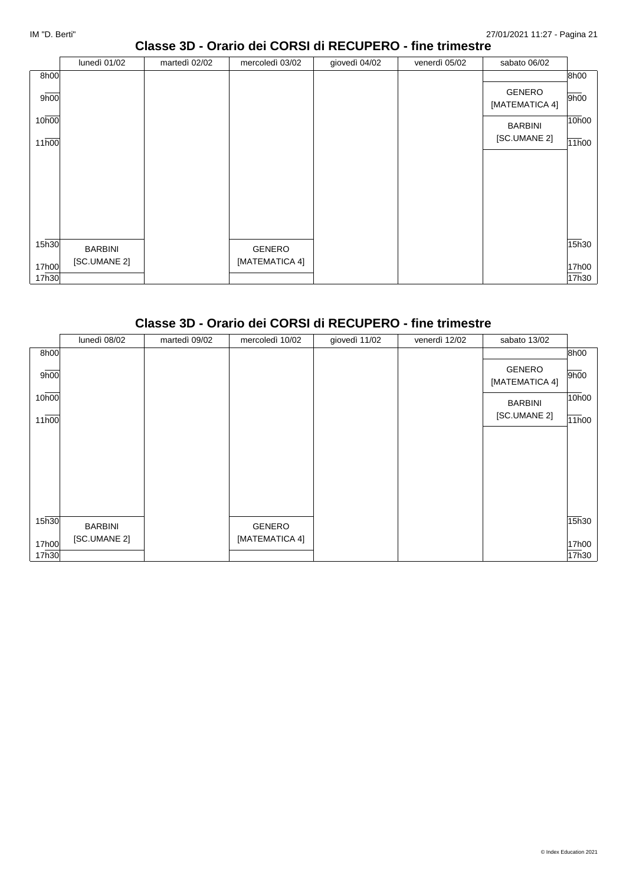## **Classe 3D - Orario dei CORSI di RECUPERO - fine trimestre**

|                   | lunedì 01/02   | martedì 02/02 | mercoledì 03/02 | giovedì 04/02 | venerdì 05/02 | sabato 06/02                    |       |
|-------------------|----------------|---------------|-----------------|---------------|---------------|---------------------------------|-------|
| 8h00              |                |               |                 |               |               |                                 | 8h00  |
| 9h00              |                |               |                 |               |               | <b>GENERO</b><br>[MATEMATICA 4] | 9h00  |
| 10h00             |                |               |                 |               |               | <b>BARBINI</b>                  | 10h00 |
| 11 <sub>h00</sub> |                |               |                 |               |               | [SC.UMANE 2]                    | 11h00 |
|                   |                |               |                 |               |               |                                 |       |
|                   |                |               |                 |               |               |                                 |       |
|                   |                |               |                 |               |               |                                 |       |
|                   |                |               |                 |               |               |                                 |       |
|                   |                |               |                 |               |               |                                 |       |
| 15 <sub>h30</sub> | <b>BARBINI</b> |               | GENERO          |               |               |                                 | 15h30 |
| 17h00             | [SC.UMANE 2]   |               | [MATEMATICA 4]  |               |               |                                 | 17h00 |
| 17h30             |                |               |                 |               |               |                                 | 17h30 |

#### **Classe 3D - Orario dei CORSI di RECUPERO - fine trimestre**

|       | lunedì 08/02   | martedì 09/02 | mercoledì 10/02 | giovedì 11/02 | venerdì 12/02 | sabato 13/02                    |       |
|-------|----------------|---------------|-----------------|---------------|---------------|---------------------------------|-------|
| 8h00  |                |               |                 |               |               |                                 | 8h00  |
| 9h00  |                |               |                 |               |               | <b>GENERO</b><br>[MATEMATICA 4] | 9h00  |
| 10h00 |                |               |                 |               |               | <b>BARBINI</b>                  | 10h00 |
| 11h00 |                |               |                 |               |               | [SC.UMANE 2]                    | 11h00 |
|       |                |               |                 |               |               |                                 |       |
|       |                |               |                 |               |               |                                 |       |
|       |                |               |                 |               |               |                                 |       |
|       |                |               |                 |               |               |                                 |       |
| 15h30 | <b>BARBINI</b> |               | GENERO          |               |               |                                 | 15h30 |
| 17h00 | [SC.UMANE 2]   |               | [MATEMATICA 4]  |               |               |                                 | 17h00 |
| 17h30 |                |               |                 |               |               |                                 | 17h30 |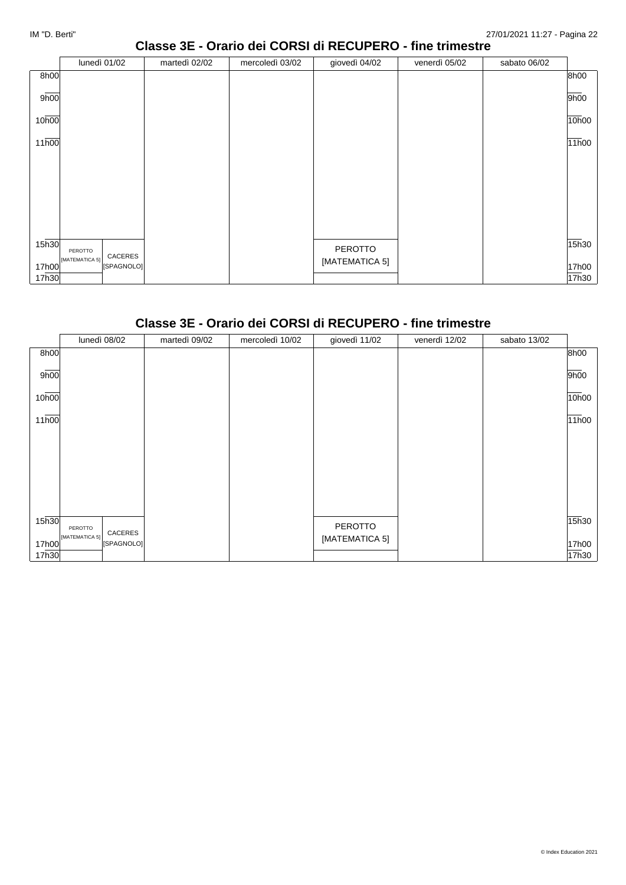## **Classe 3E - Orario dei CORSI di RECUPERO - fine trimestre**

|                   | lunedì 01/02                                       | martedì 02/02 | mercoledì 03/02 | giovedì 04/02  | venerdì 05/02 | sabato 06/02 |       |
|-------------------|----------------------------------------------------|---------------|-----------------|----------------|---------------|--------------|-------|
| 8h00              |                                                    |               |                 |                |               |              | 8h00  |
| 9h00              |                                                    |               |                 |                |               |              | 9h00  |
| 10h00             |                                                    |               |                 |                |               |              | 10h00 |
| 11h00             |                                                    |               |                 |                |               |              | 11h00 |
|                   |                                                    |               |                 |                |               |              |       |
|                   |                                                    |               |                 |                |               |              |       |
|                   |                                                    |               |                 |                |               |              |       |
|                   |                                                    |               |                 |                |               |              |       |
| 15 <sub>h30</sub> |                                                    |               |                 | PEROTTO        |               |              | 15h30 |
| 17h00             | PEROTTO<br>CACERES<br>[MATEMATICA 5]<br>[SPAGNOLO] |               |                 | [MATEMATICA 5] |               |              | 17h00 |
| 17h30             |                                                    |               |                 |                |               |              | 17h30 |

# **Classe 3E - Orario dei CORSI di RECUPERO - fine trimestre**

|                   | lunedì 08/02                            | martedì 09/02 | mercoledì 10/02 | giovedì 11/02  | venerdì 12/02 | sabato 13/02 |       |
|-------------------|-----------------------------------------|---------------|-----------------|----------------|---------------|--------------|-------|
| 8h00              |                                         |               |                 |                |               |              | 8h00  |
| 9h00              |                                         |               |                 |                |               |              | 9h00  |
| 10h00             |                                         |               |                 |                |               |              | 10h00 |
| 11h00             |                                         |               |                 |                |               |              | 11h00 |
|                   |                                         |               |                 |                |               |              |       |
|                   |                                         |               |                 |                |               |              |       |
|                   |                                         |               |                 |                |               |              |       |
|                   |                                         |               |                 |                |               |              |       |
| 15 <sub>h30</sub> | PEROTTO                                 |               |                 | PEROTTO        |               |              | 15h30 |
| 17h00             | CACERES<br>[MATEMATICA 5]<br>[SPAGNOLO] |               |                 | [MATEMATICA 5] |               |              | 17h00 |
| 17h30             |                                         |               |                 |                |               |              | 17h30 |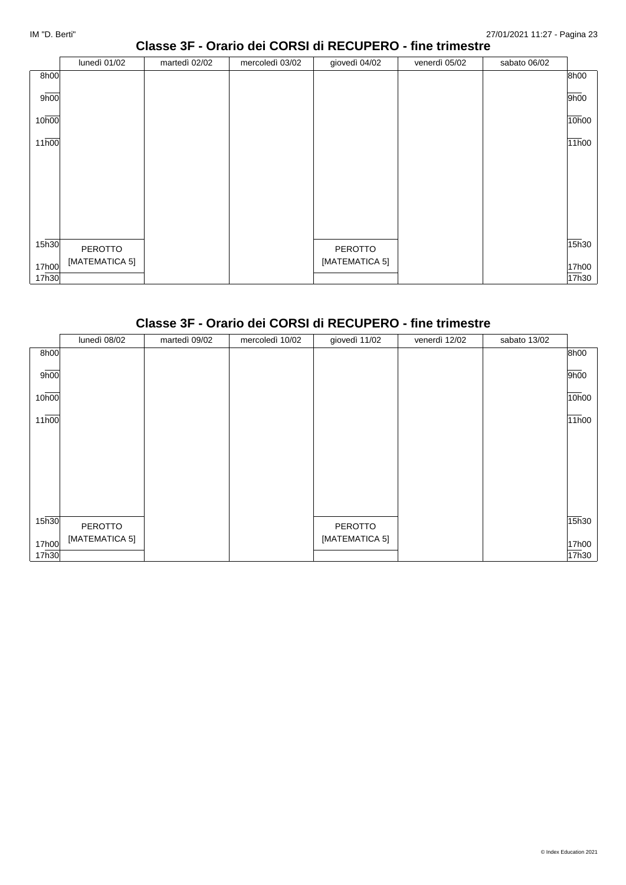#### **Classe 3F - Orario dei CORSI di RECUPERO - fine trimestre**

|                   | lunedì 01/02   | martedì 02/02 | mercoledì 03/02 | giovedì 04/02  | venerdì 05/02 | sabato 06/02 |       |
|-------------------|----------------|---------------|-----------------|----------------|---------------|--------------|-------|
| 8h00              |                |               |                 |                |               |              | 8h00  |
| 9 <sub>h00</sub>  |                |               |                 |                |               |              | 9h00  |
| 10 <sub>h00</sub> |                |               |                 |                |               |              | 10h00 |
| 11h00             |                |               |                 |                |               |              | 11h00 |
|                   |                |               |                 |                |               |              |       |
|                   |                |               |                 |                |               |              |       |
|                   |                |               |                 |                |               |              |       |
|                   |                |               |                 |                |               |              |       |
| 15 <sub>h30</sub> | PEROTTO        |               |                 | PEROTTO        |               |              | 15h30 |
| 17h00             | [MATEMATICA 5] |               |                 | [MATEMATICA 5] |               |              | 17h00 |
| 17h30             |                |               |                 |                |               |              | 17h30 |

## **Classe 3F - Orario dei CORSI di RECUPERO - fine trimestre**

|       | lunedì 08/02   | martedì 09/02 | mercoledì 10/02 | giovedì 11/02  | venerdì 12/02 | sabato 13/02 |       |
|-------|----------------|---------------|-----------------|----------------|---------------|--------------|-------|
| 8h00  |                |               |                 |                |               |              | 8h00  |
| 9h00  |                |               |                 |                |               |              | 9h00  |
| 10h00 |                |               |                 |                |               |              | 10h00 |
| 11h00 |                |               |                 |                |               |              | 11h00 |
|       |                |               |                 |                |               |              |       |
|       |                |               |                 |                |               |              |       |
|       |                |               |                 |                |               |              |       |
|       |                |               |                 |                |               |              |       |
| 15h30 | PEROTTO        |               |                 | PEROTTO        |               |              | 15h30 |
| 17h00 | [MATEMATICA 5] |               |                 | [MATEMATICA 5] |               |              | 17h00 |
| 17h30 |                |               |                 |                |               |              | 17h30 |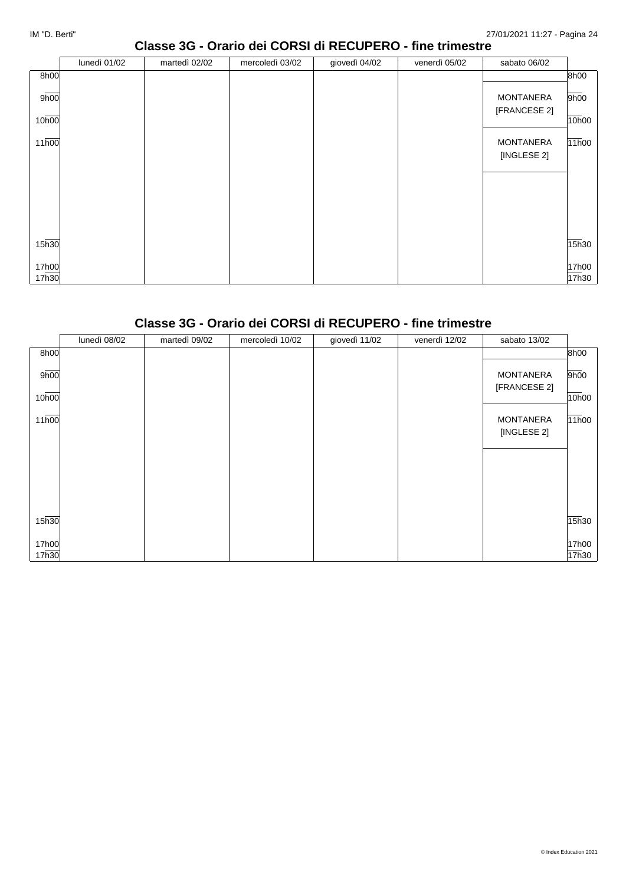#### **Classe 3G - Orario dei CORSI di RECUPERO - fine trimestre**

|                   | lunedì 01/02 | martedì 02/02 | mercoledì 03/02 | giovedì 04/02 | venerdì 05/02 | sabato 06/02     |       |
|-------------------|--------------|---------------|-----------------|---------------|---------------|------------------|-------|
| 8h00              |              |               |                 |               |               |                  | 8h00  |
| 9h00              |              |               |                 |               |               | <b>MONTANERA</b> | 9h00  |
|                   |              |               |                 |               |               | [FRANCESE 2]     |       |
| 10 <sub>h00</sub> |              |               |                 |               |               |                  | 10h00 |
| 11h00             |              |               |                 |               |               | <b>MONTANERA</b> | 11h00 |
|                   |              |               |                 |               |               | [INGLESE 2]      |       |
|                   |              |               |                 |               |               |                  |       |
|                   |              |               |                 |               |               |                  |       |
|                   |              |               |                 |               |               |                  |       |
|                   |              |               |                 |               |               |                  |       |
|                   |              |               |                 |               |               |                  |       |
| 15 <sub>h30</sub> |              |               |                 |               |               |                  | 15h30 |
| 17h00             |              |               |                 |               |               |                  | 17h00 |
| 17h30             |              |               |                 |               |               |                  | 17h30 |

#### **Classe 3G - Orario dei CORSI di RECUPERO - fine trimestre**

|       | lunedì 08/02 | martedì 09/02 | mercoledì 10/02 | giovedì 11/02 | venerdì 12/02 | sabato 13/02     |       |
|-------|--------------|---------------|-----------------|---------------|---------------|------------------|-------|
| 8h00  |              |               |                 |               |               |                  | 8h00  |
| 9h00  |              |               |                 |               |               | <b>MONTANERA</b> | 9h00  |
| 10h00 |              |               |                 |               |               | [FRANCESE 2]     | 10h00 |
| 11h00 |              |               |                 |               |               | <b>MONTANERA</b> | 11h00 |
|       |              |               |                 |               |               | [INGLESE 2]      |       |
|       |              |               |                 |               |               |                  |       |
|       |              |               |                 |               |               |                  |       |
|       |              |               |                 |               |               |                  |       |
| 15h30 |              |               |                 |               |               |                  | 15h30 |
| 17h00 |              |               |                 |               |               |                  | 17h00 |
| 17h30 |              |               |                 |               |               |                  | 17h30 |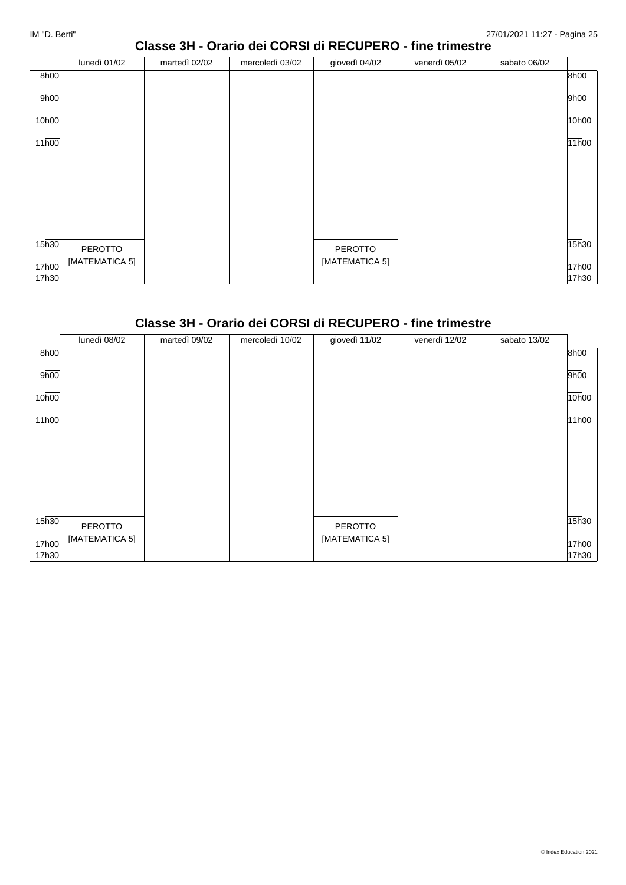#### **Classe 3H - Orario dei CORSI di RECUPERO - fine trimestre**

|                   | lunedì 01/02   | martedì 02/02 | mercoledì 03/02 | giovedì 04/02  | venerdì 05/02 | sabato 06/02 |       |
|-------------------|----------------|---------------|-----------------|----------------|---------------|--------------|-------|
| 8h00              |                |               |                 |                |               |              | 8h00  |
| 9h00              |                |               |                 |                |               |              | 9h00  |
| 10h00             |                |               |                 |                |               |              | 10h00 |
| 11h00             |                |               |                 |                |               |              | 11h00 |
|                   |                |               |                 |                |               |              |       |
|                   |                |               |                 |                |               |              |       |
|                   |                |               |                 |                |               |              |       |
|                   |                |               |                 |                |               |              |       |
| 15 <sub>h30</sub> | PEROTTO        |               |                 | PEROTTO        |               |              | 15h30 |
| 17h00             | [MATEMATICA 5] |               |                 | [MATEMATICA 5] |               |              | 17h00 |
| 17h30             |                |               |                 |                |               |              | 17h30 |

# **Classe 3H - Orario dei CORSI di RECUPERO - fine trimestre**

|       | lunedì 08/02   | martedì 09/02 | mercoledì 10/02 | giovedì 11/02  | venerdì 12/02 | sabato 13/02 |       |
|-------|----------------|---------------|-----------------|----------------|---------------|--------------|-------|
| 8h00  |                |               |                 |                |               |              | 8h00  |
| 9h00  |                |               |                 |                |               |              | 9h00  |
| 10h00 |                |               |                 |                |               |              | 10h00 |
| 11h00 |                |               |                 |                |               |              | 11h00 |
|       |                |               |                 |                |               |              |       |
|       |                |               |                 |                |               |              |       |
|       |                |               |                 |                |               |              |       |
|       |                |               |                 |                |               |              |       |
| 15h30 | PEROTTO        |               |                 | PEROTTO        |               |              | 15h30 |
| 17h00 | [MATEMATICA 5] |               |                 | [MATEMATICA 5] |               |              | 17h00 |
| 17h30 |                |               |                 |                |               |              | 17h30 |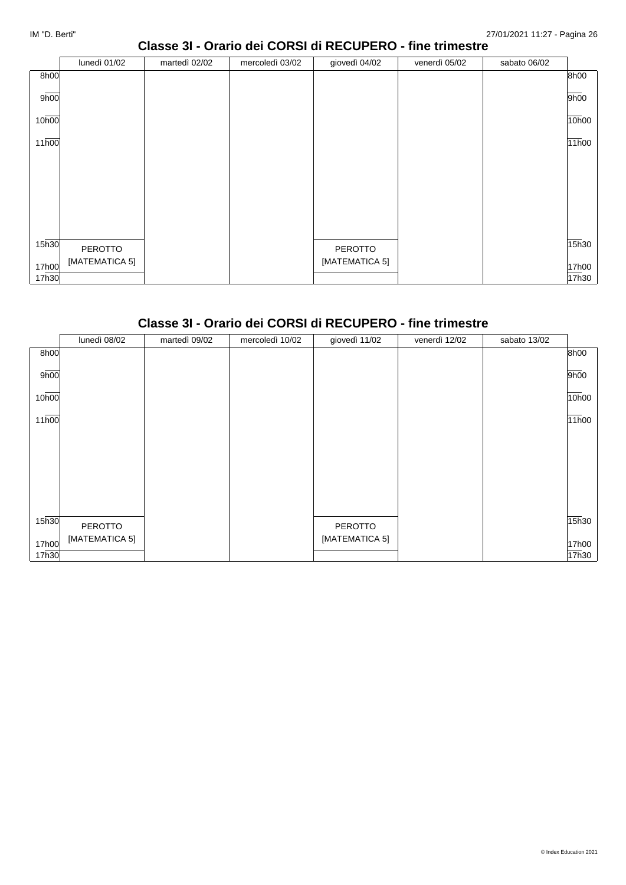#### **Classe 3I - Orario dei CORSI di RECUPERO - fine trimestre**

|                   | lunedì 01/02   | martedì 02/02 | mercoledì 03/02 | giovedì 04/02  | venerdì 05/02 | sabato 06/02 |       |
|-------------------|----------------|---------------|-----------------|----------------|---------------|--------------|-------|
| 8h00              |                |               |                 |                |               |              | 8h00  |
| 9h00              |                |               |                 |                |               |              | 9h00  |
| 10h00             |                |               |                 |                |               |              | 10h00 |
| 11 <sub>h00</sub> |                |               |                 |                |               |              | 11h00 |
|                   |                |               |                 |                |               |              |       |
|                   |                |               |                 |                |               |              |       |
|                   |                |               |                 |                |               |              |       |
|                   |                |               |                 |                |               |              |       |
| 15 <sub>h30</sub> | PEROTTO        |               |                 | PEROTTO        |               |              | 15h30 |
| 17h00             | [MATEMATICA 5] |               |                 | [MATEMATICA 5] |               |              | 17h00 |
| 17h30             |                |               |                 |                |               |              | 17h30 |

# **Classe 3I - Orario dei CORSI di RECUPERO - fine trimestre**

|       | lunedì 08/02   | martedì 09/02 | mercoledì 10/02 | giovedì 11/02  | venerdì 12/02 | sabato 13/02 |       |
|-------|----------------|---------------|-----------------|----------------|---------------|--------------|-------|
| 8h00  |                |               |                 |                |               |              | 8h00  |
| 9h00  |                |               |                 |                |               |              | 9h00  |
| 10h00 |                |               |                 |                |               |              | 10h00 |
| 11h00 |                |               |                 |                |               |              | 11h00 |
|       |                |               |                 |                |               |              |       |
|       |                |               |                 |                |               |              |       |
|       |                |               |                 |                |               |              |       |
|       |                |               |                 |                |               |              |       |
| 15h30 | PEROTTO        |               |                 | PEROTTO        |               |              | 15h30 |
| 17h00 | [MATEMATICA 5] |               |                 | [MATEMATICA 5] |               |              | 17h00 |
| 17h30 |                |               |                 |                |               |              | 17h30 |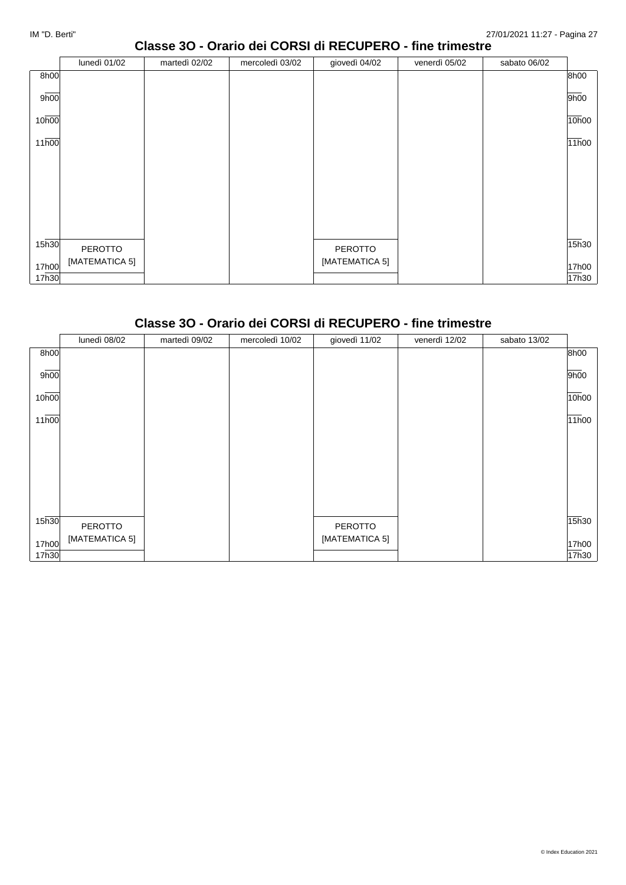#### **Classe 3O - Orario dei CORSI di RECUPERO - fine trimestre**

|                   | lunedì 01/02   | martedì 02/02 | mercoledì 03/02 | giovedì 04/02  | venerdì 05/02 | sabato 06/02 |       |
|-------------------|----------------|---------------|-----------------|----------------|---------------|--------------|-------|
| 8h00              |                |               |                 |                |               |              | 8h00  |
| 9h00              |                |               |                 |                |               |              | 9h00  |
| 10 <sub>h00</sub> |                |               |                 |                |               |              | 10h00 |
| 11h00             |                |               |                 |                |               |              | 11h00 |
|                   |                |               |                 |                |               |              |       |
|                   |                |               |                 |                |               |              |       |
|                   |                |               |                 |                |               |              |       |
|                   |                |               |                 |                |               |              |       |
|                   |                |               |                 |                |               |              |       |
| 15 <sub>h30</sub> | PEROTTO        |               |                 | PEROTTO        |               |              | 15h30 |
| 17h00             | [MATEMATICA 5] |               |                 | [MATEMATICA 5] |               |              | 17h00 |
| 17h30             |                |               |                 |                |               |              | 17h30 |

# **Classe 3O - Orario dei CORSI di RECUPERO - fine trimestre**

|       | lunedì 08/02   | martedì 09/02 | mercoledì 10/02 | giovedì 11/02  | venerdì 12/02 | sabato 13/02 |       |
|-------|----------------|---------------|-----------------|----------------|---------------|--------------|-------|
| 8h00  |                |               |                 |                |               |              | 8h00  |
| 9h00  |                |               |                 |                |               |              | 9h00  |
| 10h00 |                |               |                 |                |               |              | 10h00 |
| 11h00 |                |               |                 |                |               |              | 11h00 |
|       |                |               |                 |                |               |              |       |
|       |                |               |                 |                |               |              |       |
|       |                |               |                 |                |               |              |       |
|       |                |               |                 |                |               |              |       |
| 15h30 | PEROTTO        |               |                 | PEROTTO        |               |              | 15h30 |
| 17h00 | [MATEMATICA 5] |               |                 | [MATEMATICA 5] |               |              | 17h00 |
| 17h30 |                |               |                 |                |               |              | 17h30 |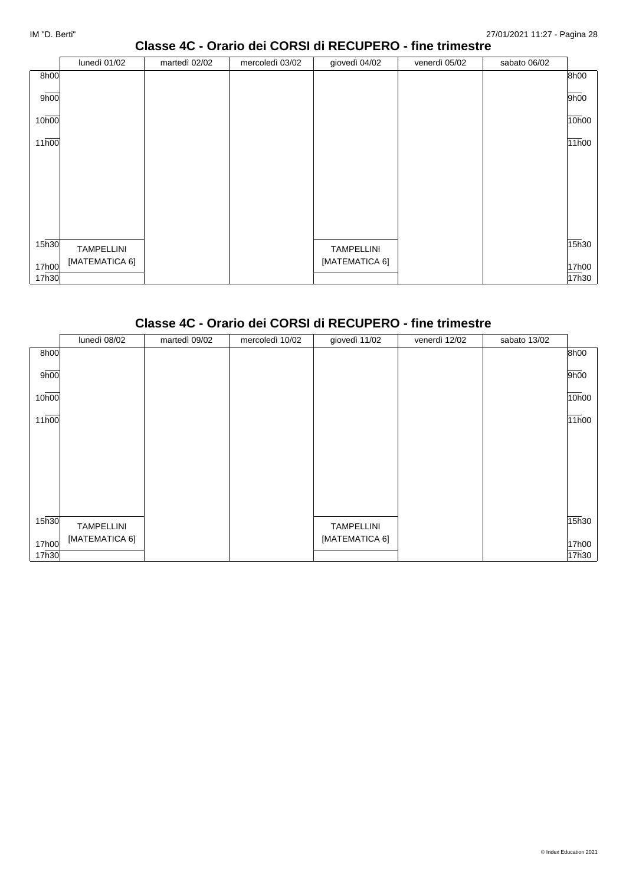#### **Classe 4C - Orario dei CORSI di RECUPERO - fine trimestre**

|                   | lunedì 01/02   | martedì 02/02 | mercoledì 03/02 | giovedì 04/02  | venerdì 05/02 | sabato 06/02 |       |
|-------------------|----------------|---------------|-----------------|----------------|---------------|--------------|-------|
| 8h00              |                |               |                 |                |               |              | 8h00  |
| 9h00              |                |               |                 |                |               |              | 9h00  |
| 10 <sub>h00</sub> |                |               |                 |                |               |              | 10h00 |
| 11h00             |                |               |                 |                |               |              | 11h00 |
|                   |                |               |                 |                |               |              |       |
|                   |                |               |                 |                |               |              |       |
|                   |                |               |                 |                |               |              |       |
|                   |                |               |                 |                |               |              |       |
| 15 <sub>h30</sub> | TAMPELLINI     |               |                 | TAMPELLINI     |               |              | 15h30 |
| 17h00             | [MATEMATICA 6] |               |                 | [MATEMATICA 6] |               |              | 17h00 |
| 17h30             |                |               |                 |                |               |              | 17h30 |

# **Classe 4C - Orario dei CORSI di RECUPERO - fine trimestre**

|       | lunedì 08/02      | martedì 09/02 | mercoledì 10/02 | giovedì 11/02     | venerdì 12/02 | sabato 13/02 |       |
|-------|-------------------|---------------|-----------------|-------------------|---------------|--------------|-------|
| 8h00  |                   |               |                 |                   |               |              | 8h00  |
| 9h00  |                   |               |                 |                   |               |              | 9h00  |
| 10h00 |                   |               |                 |                   |               |              | 10h00 |
| 11h00 |                   |               |                 |                   |               |              | 11h00 |
|       |                   |               |                 |                   |               |              |       |
|       |                   |               |                 |                   |               |              |       |
|       |                   |               |                 |                   |               |              |       |
|       |                   |               |                 |                   |               |              |       |
| 15h30 | <b>TAMPELLINI</b> |               |                 | <b>TAMPELLINI</b> |               |              | 15h30 |
| 17h00 | [MATEMATICA 6]    |               |                 | [MATEMATICA 6]    |               |              | 17h00 |
| 17h30 |                   |               |                 |                   |               |              | 17h30 |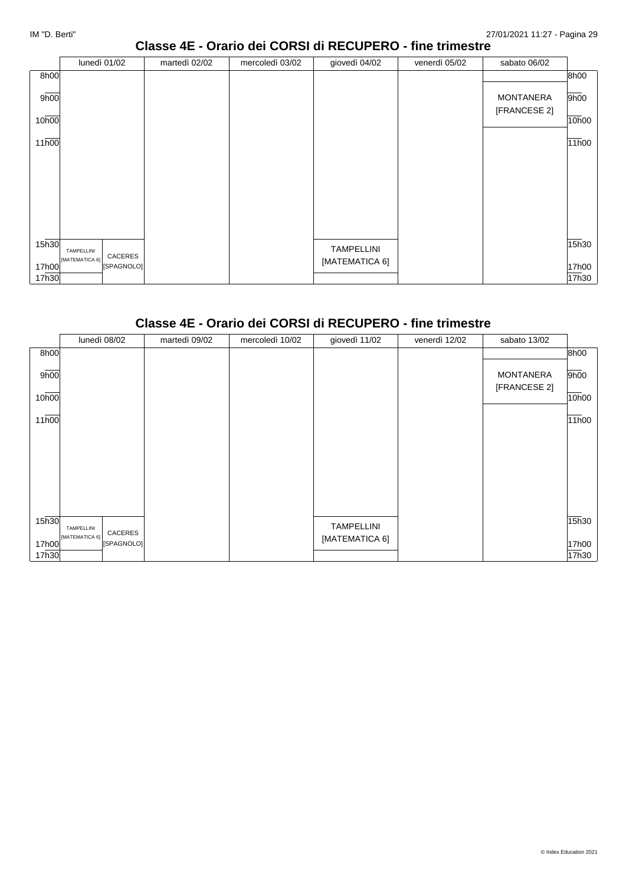#### **Classe 4E - Orario dei CORSI di RECUPERO - fine trimestre**

|       | lunedì 01/02                            | martedì 02/02 | mercoledì 03/02 | giovedì 04/02     | venerdì 05/02 | sabato 06/02                     |       |
|-------|-----------------------------------------|---------------|-----------------|-------------------|---------------|----------------------------------|-------|
| 8h00  |                                         |               |                 |                   |               |                                  | 8h00  |
| 9h00  |                                         |               |                 |                   |               | <b>MONTANERA</b><br>[FRANCESE 2] | 9h00  |
| 10h00 |                                         |               |                 |                   |               |                                  | 10h00 |
| 11h00 |                                         |               |                 |                   |               |                                  | 11h00 |
|       |                                         |               |                 |                   |               |                                  |       |
|       |                                         |               |                 |                   |               |                                  |       |
| 15h30 | TAMPELLINI                              |               |                 | <b>TAMPELLINI</b> |               |                                  | 15h30 |
| 17h00 | CACERES<br>[MATEMATICA 6]<br>[SPAGNOLO] |               |                 | [MATEMATICA 6]    |               |                                  | 17h00 |
| 17h30 |                                         |               |                 |                   |               |                                  | 17h30 |

# **Classe 4E - Orario dei CORSI di RECUPERO - fine trimestre**

|       | lunedì 08/02                 | martedì 09/02 | mercoledì 10/02 | giovedì 11/02     | venerdì 12/02 | sabato 13/02     |       |
|-------|------------------------------|---------------|-----------------|-------------------|---------------|------------------|-------|
| 8h00  |                              |               |                 |                   |               |                  | 8h00  |
| 9h00  |                              |               |                 |                   |               | <b>MONTANERA</b> | 9h00  |
| 10h00 |                              |               |                 |                   |               | [FRANCESE 2]     | 10h00 |
| 11h00 |                              |               |                 |                   |               |                  | 11h00 |
|       |                              |               |                 |                   |               |                  |       |
|       |                              |               |                 |                   |               |                  |       |
|       |                              |               |                 |                   |               |                  |       |
|       |                              |               |                 |                   |               |                  |       |
| 15h30 | TAMPELLINI<br>CACERES        |               |                 | <b>TAMPELLINI</b> |               |                  | 15h30 |
| 17h00 | [MATEMATICA 6]<br>[SPAGNOLO] |               |                 | [MATEMATICA 6]    |               |                  | 17h00 |
| 17h30 |                              |               |                 |                   |               |                  | 17h30 |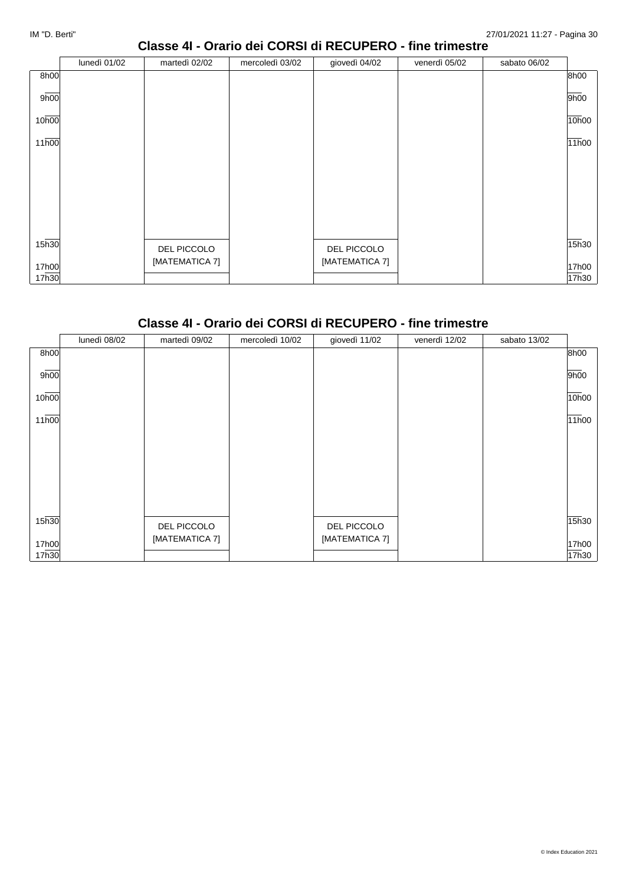## **Classe 4I - Orario dei CORSI di RECUPERO - fine trimestre**

|       | lunedì 01/02 | martedì 02/02  | mercoledì 03/02 | giovedì 04/02  | venerdì 05/02 | sabato 06/02 |       |
|-------|--------------|----------------|-----------------|----------------|---------------|--------------|-------|
| 8h00  |              |                |                 |                |               |              | 8h00  |
| 9h00  |              |                |                 |                |               |              | 9h00  |
| 10h00 |              |                |                 |                |               |              | 10h00 |
| 11h00 |              |                |                 |                |               |              | 11h00 |
|       |              |                |                 |                |               |              |       |
|       |              |                |                 |                |               |              |       |
|       |              |                |                 |                |               |              |       |
|       |              |                |                 |                |               |              |       |
| 15h30 |              | DEL PICCOLO    |                 | DEL PICCOLO    |               |              | 15h30 |
|       |              | [MATEMATICA 7] |                 | [MATEMATICA 7] |               |              |       |
| 17h00 |              |                |                 |                |               |              | 17h00 |
| 17h30 |              |                |                 |                |               |              | 17h30 |

#### **Classe 4I - Orario dei CORSI di RECUPERO - fine trimestre**

|                    | lunedì 08/02 | martedì 09/02  | mercoledì 10/02 | giovedì 11/02  | venerdì 12/02 | sabato 13/02 |       |
|--------------------|--------------|----------------|-----------------|----------------|---------------|--------------|-------|
| 8h00               |              |                |                 |                |               |              | 8h00  |
| 9h00               |              |                |                 |                |               |              | 9h00  |
| 10h00              |              |                |                 |                |               |              | 10h00 |
| $11\overline{h00}$ |              |                |                 |                |               |              | 11h00 |
|                    |              |                |                 |                |               |              |       |
|                    |              |                |                 |                |               |              |       |
|                    |              |                |                 |                |               |              |       |
|                    |              |                |                 |                |               |              |       |
| 15h30              |              | DEL PICCOLO    |                 | DEL PICCOLO    |               |              | 15h30 |
| 17h00              |              | [MATEMATICA 7] |                 | [MATEMATICA 7] |               |              | 17h00 |
| 17h30              |              |                |                 |                |               |              | 17h30 |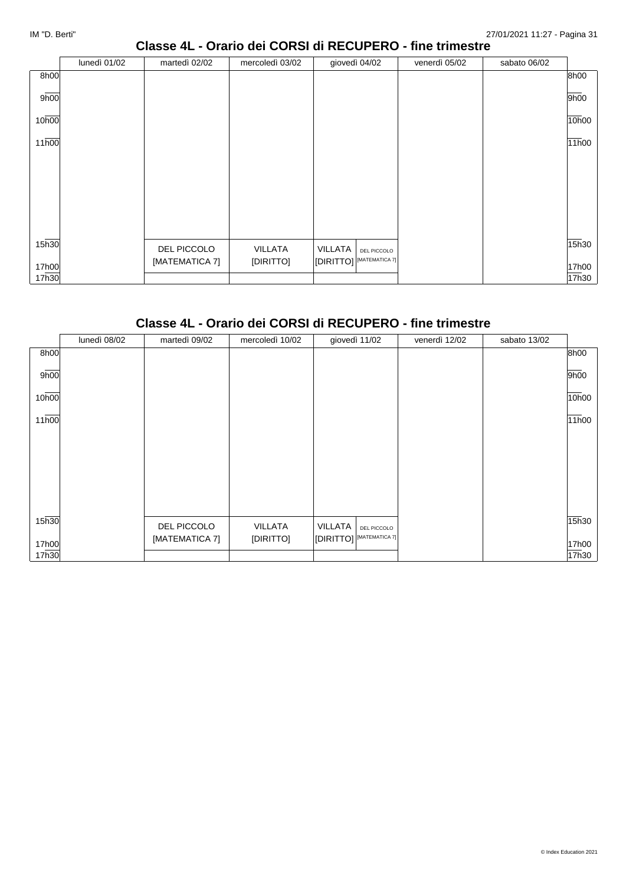#### **Classe 4L - Orario dei CORSI di RECUPERO - fine trimestre**

|       | lunedì 01/02 | martedì 02/02  | mercoledì 03/02 | giovedì 04/02                                                     | venerdì 05/02 | sabato 06/02 |       |
|-------|--------------|----------------|-----------------|-------------------------------------------------------------------|---------------|--------------|-------|
| 8h00  |              |                |                 |                                                                   |               |              | 8h00  |
| 9h00  |              |                |                 |                                                                   |               |              | 9h00  |
| 10h00 |              |                |                 |                                                                   |               |              | 10h00 |
| 11h00 |              |                |                 |                                                                   |               |              | 11h00 |
|       |              |                |                 |                                                                   |               |              |       |
|       |              |                |                 |                                                                   |               |              |       |
|       |              |                |                 |                                                                   |               |              |       |
|       |              |                |                 |                                                                   |               |              |       |
| 15h30 |              | DEL PICCOLO    | <b>VILLATA</b>  | VILLATA<br>DEL PICCOLO                                            |               |              | 15h30 |
| 17h00 |              | [MATEMATICA 7] | [DIRITTO]       | $\left\vert\left[\text{DIRITTO}\right]\right\vert$ [MATEMATICA 7] |               |              | 17h00 |
| 17h30 |              |                |                 |                                                                   |               |              | 17h30 |

# **Classe 4L - Orario dei CORSI di RECUPERO - fine trimestre**

|                    | lunedì 08/02 | martedì 09/02  | mercoledì 10/02 | giovedì 11/02                                                     | venerdì 12/02 | sabato 13/02 |       |
|--------------------|--------------|----------------|-----------------|-------------------------------------------------------------------|---------------|--------------|-------|
| 8h00               |              |                |                 |                                                                   |               |              | 8h00  |
| 9h00               |              |                |                 |                                                                   |               |              | 9h00  |
| 10h00              |              |                |                 |                                                                   |               |              | 10h00 |
| $11\overline{h00}$ |              |                |                 |                                                                   |               |              | 11h00 |
|                    |              |                |                 |                                                                   |               |              |       |
|                    |              |                |                 |                                                                   |               |              |       |
|                    |              |                |                 |                                                                   |               |              |       |
|                    |              |                |                 |                                                                   |               |              |       |
| 15h30              |              | DEL PICCOLO    | VILLATA         | <b>VILLATA</b><br>DEL PICCOLO                                     |               |              | 15h30 |
| 17h00              |              | [MATEMATICA 7] | [DIRITTO]       | $\left\vert\left[\text{DIRITTO}\right]\right\vert$ [MATEMATICA 7] |               |              | 17h00 |
| 17h30              |              |                |                 |                                                                   |               |              | 17h30 |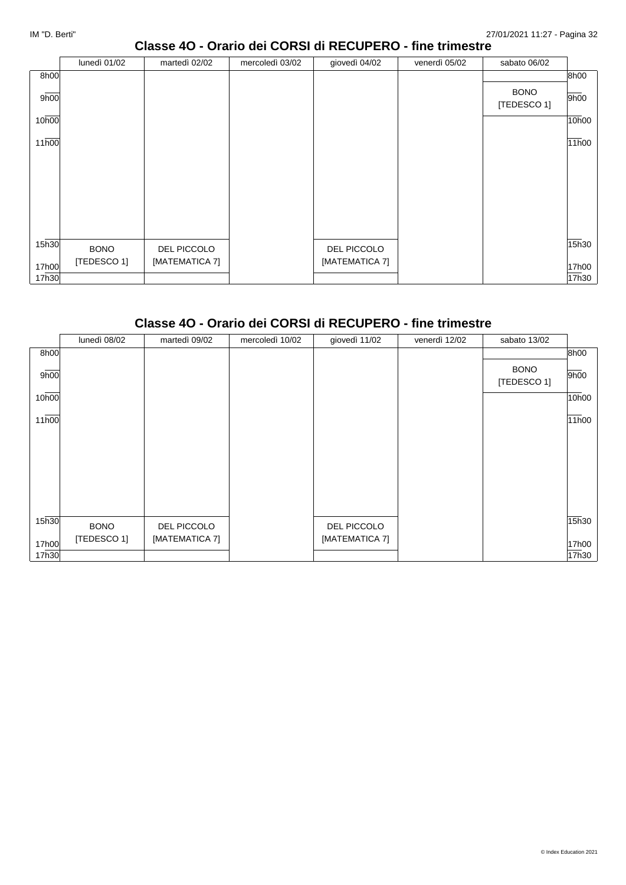#### **Classe 4O - Orario dei CORSI di RECUPERO - fine trimestre**

|                   | lunedì 01/02 | martedì 02/02  | mercoledì 03/02 | giovedì 04/02  | venerdì 05/02 | sabato 06/02               |       |
|-------------------|--------------|----------------|-----------------|----------------|---------------|----------------------------|-------|
| 8h00              |              |                |                 |                |               |                            | 8h00  |
| 9h00              |              |                |                 |                |               | <b>BONO</b><br>[TEDESCO 1] | 9h00  |
| 10h00             |              |                |                 |                |               |                            | 10h00 |
| 11h00             |              |                |                 |                |               |                            | 11h00 |
|                   |              |                |                 |                |               |                            |       |
|                   |              |                |                 |                |               |                            |       |
|                   |              |                |                 |                |               |                            |       |
|                   |              |                |                 |                |               |                            |       |
|                   |              |                |                 |                |               |                            |       |
| 15 <sub>h30</sub> | <b>BONO</b>  | DEL PICCOLO    |                 | DEL PICCOLO    |               |                            | 15h30 |
| 17h00             | [TEDESCO 1]  | [MATEMATICA 7] |                 | [MATEMATICA 7] |               |                            | 17h00 |
| 17h30             |              |                |                 |                |               |                            | 17h30 |

# **Classe 4O - Orario dei CORSI di RECUPERO - fine trimestre**

|                   | lunedì 08/02 | martedì 09/02  | mercoledì 10/02 | giovedì 11/02  | venerdì 12/02 | sabato 13/02               |       |
|-------------------|--------------|----------------|-----------------|----------------|---------------|----------------------------|-------|
| 8h00              |              |                |                 |                |               |                            | 8h00  |
| 9h00              |              |                |                 |                |               | <b>BONO</b><br>[TEDESCO 1] | 9h00  |
| 10h00             |              |                |                 |                |               |                            | 10h00 |
| 11h00             |              |                |                 |                |               |                            | 11h00 |
|                   |              |                |                 |                |               |                            |       |
|                   |              |                |                 |                |               |                            |       |
|                   |              |                |                 |                |               |                            |       |
| 15 <sub>h30</sub> | <b>BONO</b>  | DEL PICCOLO    |                 | DEL PICCOLO    |               |                            | 15h30 |
| 17h00             | [TEDESCO 1]  | [MATEMATICA 7] |                 | [MATEMATICA 7] |               |                            | 17h00 |
| 17h30             |              |                |                 |                |               |                            | 17h30 |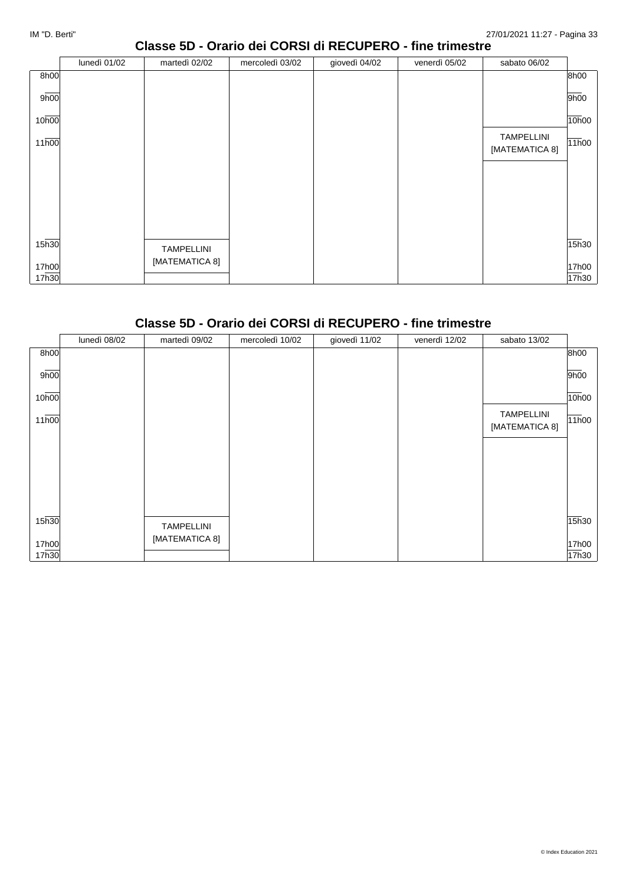### **Classe 5D - Orario dei CORSI di RECUPERO - fine trimestre**

|                   | lunedì 01/02 | martedì 02/02                       | mercoledì 03/02 | giovedì 04/02 | venerdì 05/02 | sabato 06/02                        |       |
|-------------------|--------------|-------------------------------------|-----------------|---------------|---------------|-------------------------------------|-------|
| 8h00              |              |                                     |                 |               |               |                                     | 8h00  |
| 9h00              |              |                                     |                 |               |               |                                     | 9h00  |
| 10 <sub>h00</sub> |              |                                     |                 |               |               |                                     | 10h00 |
| 11h00             |              |                                     |                 |               |               | <b>TAMPELLINI</b><br>[MATEMATICA 8] | 11h00 |
|                   |              |                                     |                 |               |               |                                     |       |
|                   |              |                                     |                 |               |               |                                     |       |
|                   |              |                                     |                 |               |               |                                     |       |
|                   |              |                                     |                 |               |               |                                     |       |
| 15 <sub>h30</sub> |              |                                     |                 |               |               |                                     | 15h30 |
|                   |              | <b>TAMPELLINI</b><br>[MATEMATICA 8] |                 |               |               |                                     |       |
| 17h00<br>17h30    |              |                                     |                 |               |               |                                     | 17h00 |
|                   |              |                                     |                 |               |               |                                     | 17h30 |

#### **Classe 5D - Orario dei CORSI di RECUPERO - fine trimestre**

|       | lunedì 08/02 | martedì 09/02     | mercoledì 10/02 | giovedì 11/02 | venerdì 12/02 | sabato 13/02                        |       |
|-------|--------------|-------------------|-----------------|---------------|---------------|-------------------------------------|-------|
| 8h00  |              |                   |                 |               |               |                                     | 8h00  |
| 9h00  |              |                   |                 |               |               |                                     | 9h00  |
| 10h00 |              |                   |                 |               |               |                                     | 10h00 |
| 11h00 |              |                   |                 |               |               | <b>TAMPELLINI</b><br>[MATEMATICA 8] | 11h00 |
|       |              |                   |                 |               |               |                                     |       |
|       |              |                   |                 |               |               |                                     |       |
|       |              |                   |                 |               |               |                                     |       |
| 15h30 |              | <b>TAMPELLINI</b> |                 |               |               |                                     | 15h30 |
| 17h00 |              | [MATEMATICA 8]    |                 |               |               |                                     | 17h00 |
| 17h30 |              |                   |                 |               |               |                                     | 17h30 |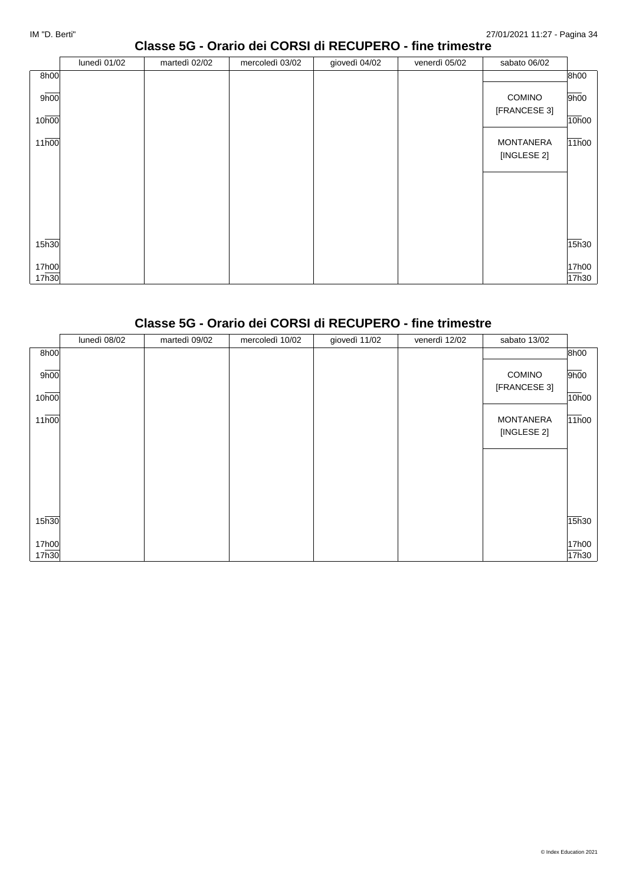#### **Classe 5G - Orario dei CORSI di RECUPERO - fine trimestre**

|                   | lunedì 01/02 | martedì 02/02 | mercoledì 03/02 | giovedì 04/02 | venerdì 05/02 | sabato 06/02     |       |
|-------------------|--------------|---------------|-----------------|---------------|---------------|------------------|-------|
| 8h00              |              |               |                 |               |               |                  | 8h00  |
| 9h00              |              |               |                 |               |               | <b>COMINO</b>    | 9h00  |
|                   |              |               |                 |               |               | [FRANCESE 3]     |       |
| 10 <sub>h00</sub> |              |               |                 |               |               |                  | 10h00 |
| 11h00             |              |               |                 |               |               | <b>MONTANERA</b> | 11h00 |
|                   |              |               |                 |               |               | [INGLESE 2]      |       |
|                   |              |               |                 |               |               |                  |       |
|                   |              |               |                 |               |               |                  |       |
|                   |              |               |                 |               |               |                  |       |
|                   |              |               |                 |               |               |                  |       |
|                   |              |               |                 |               |               |                  |       |
| 15 <sub>h30</sub> |              |               |                 |               |               |                  |       |
|                   |              |               |                 |               |               |                  | 15h30 |
| 17h00             |              |               |                 |               |               |                  | 17h00 |
| 17h30             |              |               |                 |               |               |                  | 17h30 |

## **Classe 5G - Orario dei CORSI di RECUPERO - fine trimestre**

|                | lunedì 08/02 | martedì 09/02 | mercoledì 10/02 | giovedì 11/02 | venerdì 12/02 | sabato 13/02                    |                |
|----------------|--------------|---------------|-----------------|---------------|---------------|---------------------------------|----------------|
| 8h00           |              |               |                 |               |               |                                 | 8h00           |
| 9h00           |              |               |                 |               |               | <b>COMINO</b>                   | 9h00           |
| 10h00          |              |               |                 |               |               | [FRANCESE 3]                    | 10h00          |
| 11h00          |              |               |                 |               |               | <b>MONTANERA</b><br>[INGLESE 2] | 11h00          |
|                |              |               |                 |               |               |                                 |                |
|                |              |               |                 |               |               |                                 |                |
| 15h30          |              |               |                 |               |               |                                 | 15h30          |
| 17h00<br>17h30 |              |               |                 |               |               |                                 | 17h00<br>17h30 |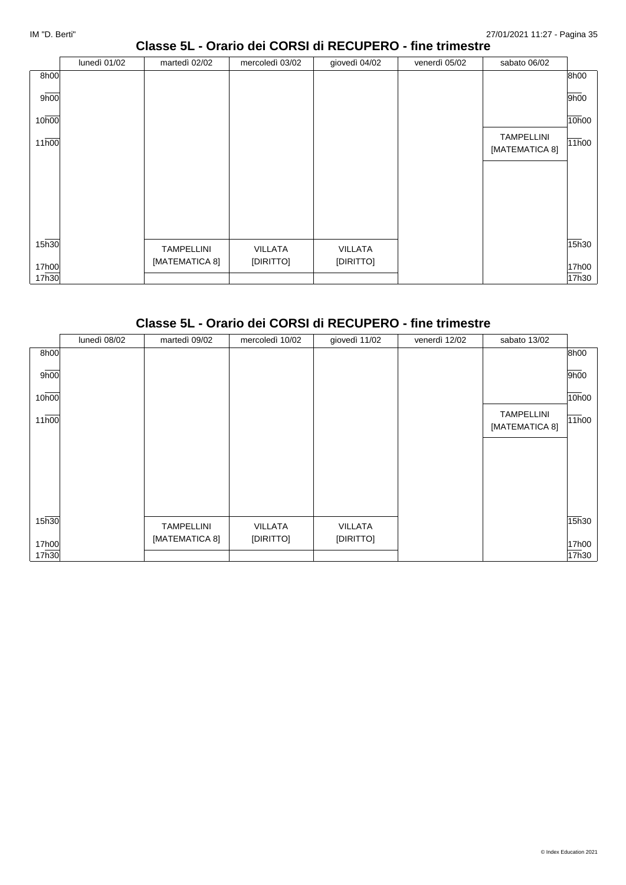#### **Classe 5L - Orario dei CORSI di RECUPERO - fine trimestre**

|       | lunedì 01/02 | martedì 02/02     | mercoledì 03/02 | giovedì 04/02  | venerdì 05/02 | sabato 06/02                        |       |
|-------|--------------|-------------------|-----------------|----------------|---------------|-------------------------------------|-------|
| 8h00  |              |                   |                 |                |               |                                     | 8h00  |
| 9h00  |              |                   |                 |                |               |                                     | 9h00  |
| 10h00 |              |                   |                 |                |               |                                     | 10h00 |
| 11h00 |              |                   |                 |                |               | <b>TAMPELLINI</b><br>[MATEMATICA 8] | 11h00 |
|       |              |                   |                 |                |               |                                     |       |
|       |              |                   |                 |                |               |                                     |       |
|       |              |                   |                 |                |               |                                     |       |
|       |              |                   |                 |                |               |                                     |       |
| 15h30 |              | <b>TAMPELLINI</b> | VILLATA         | <b>VILLATA</b> |               |                                     | 15h30 |
| 17h00 |              | [MATEMATICA 8]    | [DIRITTO]       | [DIRITTO]      |               |                                     | 17h00 |
| 17h30 |              |                   |                 |                |               |                                     | 17h30 |

## **Classe 5L - Orario dei CORSI di RECUPERO - fine trimestre**

|       | lunedì 08/02 | martedì 09/02     | mercoledì 10/02 | giovedì 11/02  | venerdì 12/02 | sabato 13/02                        |       |
|-------|--------------|-------------------|-----------------|----------------|---------------|-------------------------------------|-------|
| 8h00  |              |                   |                 |                |               |                                     | 8h00  |
| 9h00  |              |                   |                 |                |               |                                     | 9h00  |
| 10h00 |              |                   |                 |                |               |                                     | 10h00 |
| 11h00 |              |                   |                 |                |               | <b>TAMPELLINI</b><br>[MATEMATICA 8] | 11h00 |
|       |              |                   |                 |                |               |                                     |       |
|       |              |                   |                 |                |               |                                     |       |
|       |              |                   |                 |                |               |                                     |       |
| 15h30 |              | <b>TAMPELLINI</b> | <b>VILLATA</b>  | <b>VILLATA</b> |               |                                     | 15h30 |
| 17h00 |              | [MATEMATICA 8]    | [DIRITTO]       | [DIRITTO]      |               |                                     | 17h00 |
| 17h30 |              |                   |                 |                |               |                                     | 17h30 |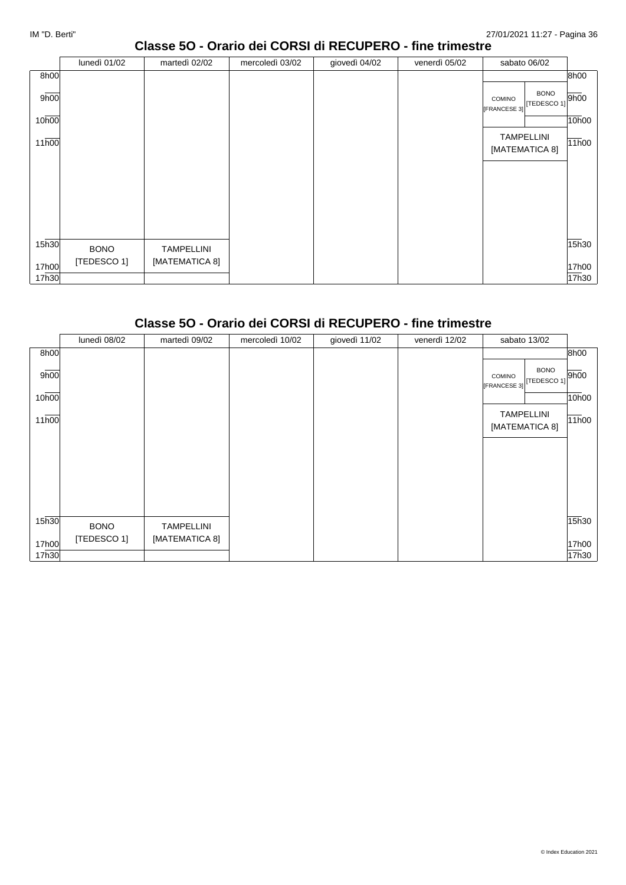#### **Classe 5O - Orario dei CORSI di RECUPERO - fine trimestre**

|                   | lunedì 01/02 | martedì 02/02     | mercoledì 03/02 | giovedì 04/02 | venerdì 05/02 | sabato 06/02                                        |       |
|-------------------|--------------|-------------------|-----------------|---------------|---------------|-----------------------------------------------------|-------|
| 8h00              |              |                   |                 |               |               |                                                     | 8h00  |
| 9h00              |              |                   |                 |               |               | <b>BONO</b><br>COMINO<br>TEDESCO 1]<br>[FRANCESE 3] | 9h00  |
| 10h00             |              |                   |                 |               |               |                                                     | 10h00 |
| 11h00             |              |                   |                 |               |               | <b>TAMPELLINI</b><br>[MATEMATICA 8]                 | 11h00 |
|                   |              |                   |                 |               |               |                                                     |       |
| 15 <sub>h30</sub> | <b>BONO</b>  | <b>TAMPELLINI</b> |                 |               |               |                                                     | 15h30 |
| 17h00             | [TEDESCO 1]  | [MATEMATICA 8]    |                 |               |               |                                                     | 17h00 |
| 17h30             |              |                   |                 |               |               |                                                     | 17h30 |

#### **Classe 5O - Orario dei CORSI di RECUPERO - fine trimestre**

|       | lunedì 08/02 | martedì 09/02     | mercoledì 10/02 | giovedì 11/02 | venerdì 12/02 | sabato 13/02                                                        |       |
|-------|--------------|-------------------|-----------------|---------------|---------------|---------------------------------------------------------------------|-------|
| 8h00  |              |                   |                 |               |               |                                                                     | 8h00  |
| 9h00  |              |                   |                 |               |               | <b>BONO</b><br>$T = 500$ $T = 100$<br><b>COMINO</b><br>[FRANCESE 3] |       |
| 10h00 |              |                   |                 |               |               |                                                                     | 10h00 |
| 11h00 |              |                   |                 |               |               | <b>TAMPELLINI</b><br>[MATEMATICA 8]                                 | 11h00 |
|       |              |                   |                 |               |               |                                                                     |       |
|       |              |                   |                 |               |               |                                                                     |       |
|       |              |                   |                 |               |               |                                                                     |       |
|       |              |                   |                 |               |               |                                                                     |       |
| 15h30 | <b>BONO</b>  | <b>TAMPELLINI</b> |                 |               |               |                                                                     | 15h30 |
| 17h00 | [TEDESCO 1]  | [MATEMATICA 8]    |                 |               |               |                                                                     | 17h00 |
| 17h30 |              |                   |                 |               |               |                                                                     | 17h30 |